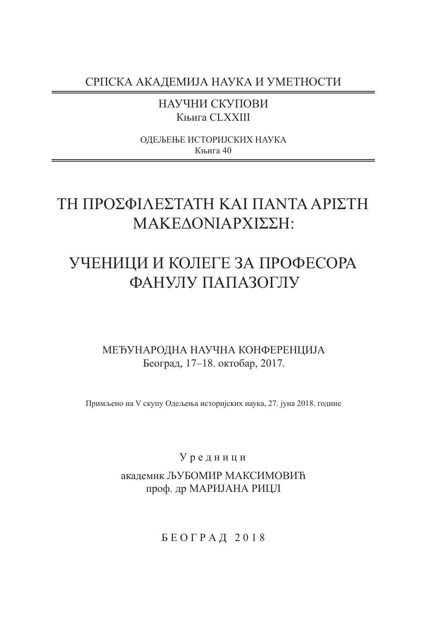СРПСКА АКАДЕМИЈА НАУКА И УМЕТНОСТИ

НАУЧНИ СКУПОВИ Књига CLXXIII

ОДЕЉЕЊЕ ИСТОРИЈСКИХ НАУКА Књига 40

# TΗ ΠΡΟΣΦΙΛΕΣΤΑΤΗ ΚΑΙ ΠΑΝΤΑ ΑΡΙΣΤΗ ΜΑΚΕΔΟΝΙΑΡΧΙΣΣΗ:

# УЧЕНИЦИ И КОЛЕГЕ ЗА ПРОФЕСОРА ФАНУЛУ ПАПАЗОГЛУ

## МЕЂУНАРОДНА НАУЧНА КОНФЕРЕНЦИЈА Београд, 17–18. октобар, 2017.

Примљено на V скупу Одељења историјских наука, 27. јуна 2018. године

## У р е д н и ц и

## академик ЉУБОМИР МАКСИМОВИЋ проф. др МАРИЈАНА РИЦЛ

Б Е О Г Р А Д 2 0 1 8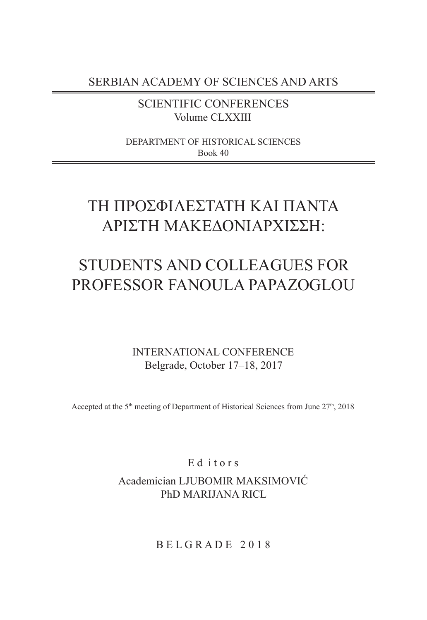SERBIAN ACADEMY OF SCIENCES AND ARTS

SCIENTIFIC CONFERENCES Volume CLXXIII

DEPARTMENT OF HISTORICAL SCIENCES Book 40

# TΗ ΠΡΟΣΦΙΛΕΣΤΑΤΗ ΚΑΙ ΠΑΝΤΑ ΑΡΙΣΤΗ ΜΑΚΕΔΟΝΙΑΡΧΙΣΣΗ:

# STUDENTS AND COLLEAGUES FOR PROFESSOR FANOULA PAPAZOGLOU

INTERNATIONAL CONFERENCE Belgrade, October 17–18, 2017

Accepted at the  $5<sup>th</sup>$  meeting of Department of Historical Sciences from June  $27<sup>th</sup>$ , 2018

Ed itors

Academician LJUBOMIR MAKSIMOVIĆ PhD MARIJANA RICL

B E L G R A D E 2 0 1 8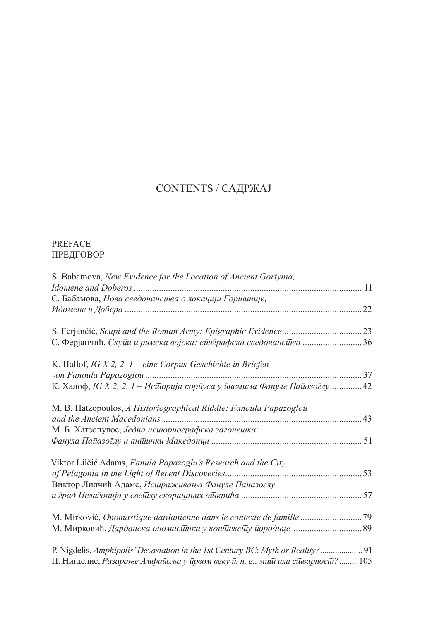## CONTENTS / САДРЖАЈ

### PREFACE ПРЕДГОВОР

| S. Babamova, New Evidence for the Location of Ancient Gortynia,                 |  |
|---------------------------------------------------------------------------------|--|
|                                                                                 |  |
| С. Бабамова, Нова сведочанства о локацији Гортиније,                            |  |
|                                                                                 |  |
|                                                                                 |  |
| С. Ферјанчић, Скуйи и римска војска: ейиграфска сведочанси ва 36                |  |
| K. Hallof, IG $X$ 2, 2, 1 – eine Corpus-Geschichte in Briefen                   |  |
|                                                                                 |  |
| К. Халоф, IG Х 2, 2, 1 – Исидорија кориуса у инсмима Фануле Пайазодлу 42        |  |
| M. B. Hatzopoulos, A Historiographical Riddle: Fanoula Papazoglou               |  |
|                                                                                 |  |
| М. Б. Хатзопулос, Једна историографска загонетка:                               |  |
|                                                                                 |  |
| Viktor Lilčić Adams, Fanula Papazoglu's Research and the City                   |  |
|                                                                                 |  |
| Виктор Лилчић Адамс, Исшраживања Фануле Пайазоглу                               |  |
|                                                                                 |  |
|                                                                                 |  |
|                                                                                 |  |
| P. Nigdelis, Amphipolis' Devastation in the 1st Century BC: Myth or Reality? 91 |  |
| П. Нигделис, Разарање Амфийоља у йрвом веку й. н. е.: мий или сйварноси? 105    |  |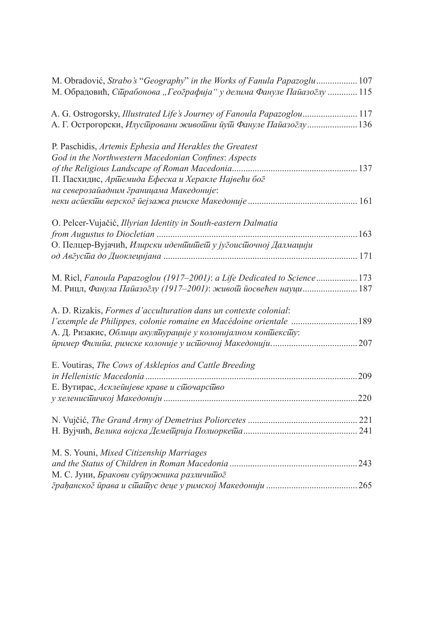| M. Obradović, Strabo's "Geography" in the Works of Fanula Papazoglu  107  |  |
|---------------------------------------------------------------------------|--|
| М. Обрадовић, Сирабонова "Географија" у делима Фануле Пайазоглу  115      |  |
| A. G. Ostrogorsky, Illustrated Life's Journey of Fanoula Papazoglou 117   |  |
| А. Г. Острогорски, Илусидровани живойни йуй Фануле Пайазоглу  136         |  |
| P. Paschidis, Artemis Ephesia and Herakles the Greatest                   |  |
| God in the Northwestern Macedonian Confines: Aspects                      |  |
|                                                                           |  |
| П. Пасхидис, Аршемида Ефеска и Херакле Највећи бог                        |  |
| на северозайадним границама Македоније:                                   |  |
|                                                                           |  |
| O. Pelcer-Vujačić, Illyrian Identity in South-eastern Dalmatia            |  |
|                                                                           |  |
| О. Пелцер-Вујачић, Илирски иденишийей у југоисидочној Далмацији           |  |
|                                                                           |  |
|                                                                           |  |
| M. Ricl, Fanoula Papazoglou (1917–2001): a Life Dedicated to Science  173 |  |
| М. Рицл, Фанула Пайазоглу (1917-2001): живой йосвећен науци 187           |  |
|                                                                           |  |
| A. D. Rizakis, Formes d'acculturation dans un contexte colonial:          |  |
| l'exemple de Philippes, colonie romaine en Macédoine orientale  189       |  |
| А. Д. Ризакис, Облици акулийурације у колонијалном коншексии:             |  |
|                                                                           |  |
|                                                                           |  |
| E. Voutiras, The Cows of Asklepios and Cattle Breeding                    |  |
|                                                                           |  |
| Е. Вутирас, Асклейијеве краве и сидочарсидво                              |  |
|                                                                           |  |
|                                                                           |  |
|                                                                           |  |
|                                                                           |  |
|                                                                           |  |
| M. S. Youni, Mixed Citizenship Marriages                                  |  |
|                                                                           |  |
| М. С. Јуни, Бракови суйружника различийог                                 |  |
|                                                                           |  |
|                                                                           |  |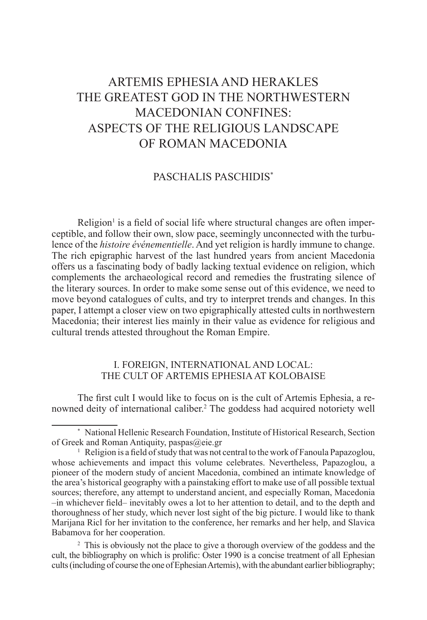# ARTEMIS EPHESIA AND HERAKLES THE GREATEST GOD IN THE NORTHWESTERN MACEDONIAN CONFINES: ASPECTS OF THE RELIGIOUS LANDSCAPE OF ROMAN MACEDONIA

### PASCHALIS PASCHIDIS\*

Religion<sup>1</sup> is a field of social life where structural changes are often imperceptible, and follow their own, slow pace, seemingly unconnected with the turbulence of the *histoire événementielle*. And yet religion is hardly immune to change. The rich epigraphic harvest of the last hundred years from ancient Macedonia offers us a fascinating body of badly lacking textual evidence on religion, which complements the archaeological record and remedies the frustrating silence of the literary sources. In order to make some sense out of this evidence, we need to move beyond catalogues of cults, and try to interpret trends and changes. In this paper, I attempt a closer view on two epigraphically attested cults in northwestern Macedonia; their interest lies mainly in their value as evidence for religious and cultural trends attested throughout the Roman Empire.

### I. FOREIGN, INTERNATIONAL AND LOCAL: THE CULT OF ARTEMIS EPHESIA AT KOLOBAISE

The first cult I would like to focus on is the cult of Artemis Ephesia, a renowned deity of international caliber.2 The goddess had acquired notoriety well

<sup>2</sup> This is obviously not the place to give a thorough overview of the goddess and the cult, the bibliography on which is prolific: Oster 1990 is a concise treatment of all Ephesian cults (including of course the one of Ephesian Artemis), with the abundant earlier bibliography;

<sup>\*</sup> National Hellenic Research Foundation, Institute of Historical Research, Section of Greek and Roman Antiquity, paspas@eie.gr

<sup>&</sup>lt;sup>1</sup> Religion is a field of study that was not central to the work of Fanoula Papazoglou, whose achievements and impact this volume celebrates. Nevertheless, Papazoglou, a pioneer of the modern study of ancient Macedonia, combined an intimate knowledge of the area's historical geography with a painstaking effort to make use of all possible textual sources; therefore, any attempt to understand ancient, and especially Roman, Macedonia –in whichever field– inevitably owes a lot to her attention to detail, and to the depth and thoroughness of her study, which never lost sight of the big picture. I would like to thank Marijana Ricl for her invitation to the conference, her remarks and her help, and Slavica Babamova for her cooperation.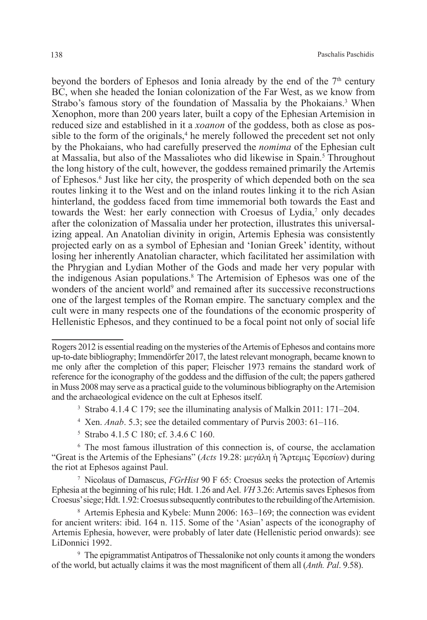beyond the borders of Ephesos and Ionia already by the end of the  $7<sup>th</sup>$  century BC, when she headed the Ionian colonization of the Far West, as we know from Strabo's famous story of the foundation of Massalia by the Phokaians.<sup>3</sup> When Xenophon, more than 200 years later, built a copy of the Ephesian Artemision in reduced size and established in it a *xoanon* of the goddess, both as close as possible to the form of the originals,<sup>4</sup> he merely followed the precedent set not only by the Phokaians, who had carefully preserved the *nomima* of the Ephesian cult at Massalia, but also of the Massaliotes who did likewise in Spain.<sup>5</sup> Throughout the long history of the cult, however, the goddess remained primarily the Artemis of Ephesos.6 Just like her city, the prosperity of which depended both on the sea routes linking it to the West and on the inland routes linking it to the rich Asian hinterland, the goddess faced from time immemorial both towards the East and towards the West: her early connection with Croesus of Lydia,<sup>7</sup> only decades after the colonization of Massalia under her protection, illustrates this universalizing appeal. An Anatolian divinity in origin, Artemis Ephesia was consistently projected early on as a symbol of Ephesian and 'Ionian Greek' identity, without losing her inherently Anatolian character, which facilitated her assimilation with the Phrygian and Lydian Mother of the Gods and made her very popular with the indigenous Asian populations.8 The Artemision of Ephesos was one of the wonders of the ancient world<sup>9</sup> and remained after its successive reconstructions one of the largest temples of the Roman empire. Τhe sanctuary complex and the cult were in many respects one of the foundations of the economic prosperity of Hellenistic Ephesos, and they continued to be a focal point not only of social life

- <sup>3</sup> Strabo 4.1.4 C 179; see the illuminating analysis of Malkin 2011: 171–204.
- <sup>4</sup> Xen. *Anab*. 5.3; see the detailed commentary of Purvis 2003: 61–116.
- <sup>5</sup> Strabo 4.1.5 C 180; cf. 3.4.6 C 160.

<sup>6</sup> The most famous illustration of this connection is, of course, the acclamation "Great is the Artemis of the Ephesians" (*Acts* 19.28: μεγάλη ἡ Ἄρτεμις Ἐφεσίων) during the riot at Ephesos against Paul.

<sup>7</sup> Nicolaus of Damascus, *FGrHist* 90 F 65: Croesus seeks the protection of Artemis Ephesia at the beginning of his rule; Hdt. 1.26 and Ael. *VH* 3.26: Artemis saves Ephesos from Croesus' siege; Hdt. 1.92: Croesus subsequently contributes to the rebuilding of the Artemision.

<sup>8</sup> Artemis Ephesia and Kybele: Munn 2006: 163–169; the connection was evident for ancient writers: ibid. 164 n. 115. Some of the 'Asian' aspects of the iconography of Artemis Ephesia, however, were probably of later date (Hellenistic period onwards): see LiDonnici 1992.

<sup>9</sup> The epigrammatist Antipatros of Thessalonike not only counts it among the wonders of the world, but actually claims it was the most magnificent of them all (*Anth. Pal*. 9.58).

Rogers 2012 is essential reading on the mysteries of the Artemis of Ephesos and contains more up-to-date bibliography; Immendörfer 2017, the latest relevant monograph, became known to me only after the completion of this paper; Fleischer 1973 remains the standard work of reference for the iconography of the goddess and the diffusion of the cult; the papers gathered in Muss 2008 may serve as a practical guide to the voluminous bibliography on the Artemision and the archaeological evidence on the cult at Ephesos itself.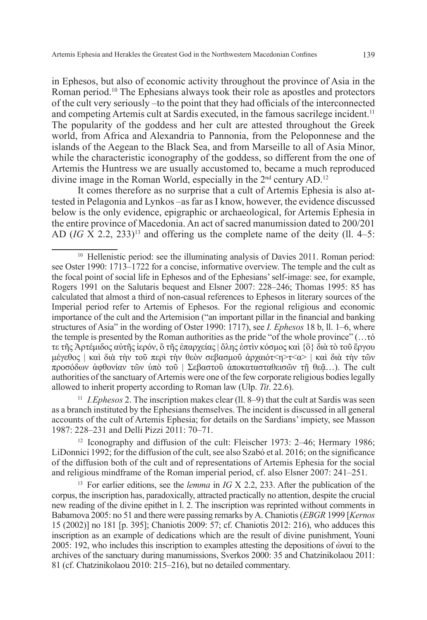in Ephesos, but also of economic activity throughout the province of Asia in the Roman period.10 The Ephesians always took their role as apostles and protectors of the cult very seriously –to the point that they had officials of the interconnected and competing Artemis cult at Sardis executed, in the famous sacrilege incident.11 The popularity of the goddess and her cult are attested throughout the Greek world, from Africa and Alexandria to Pannonia, from the Peloponnese and the islands of the Aegean to the Black Sea, and from Marseille to all of Asia Minor, while the characteristic iconography of the goddess, so different from the one of Artemis the Huntress we are usually accustomed to, became a much reproduced divine image in the Roman World, especially in the 2<sup>nd</sup> century AD.<sup>12</sup>

It comes therefore as no surprise that a cult of Artemis Ephesia is also attested in Pelagonia and Lynkos –as far as I know, however, the evidence discussed below is the only evidence, epigraphic or archaeological, for Artemis Ephesia in the entire province of Macedonia. An act of sacred manumission dated to 200/201 AD  $(IG \overline{X} 2.2, 233)^{13}$  and offering us the complete name of the deity (11, 4–5:

<sup>11</sup> *I.Ephesos* 2. The inscription makes clear (ll. 8–9) that the cult at Sardis was seen as a branch instituted by the Ephesians themselves. The incident is discussed in all general accounts of the cult of Artemis Ephesia; for details on the Sardians' impiety, see Masson 1987: 228–231 and Delli Pizzi 2011: 70–71.

<sup>12</sup> Iconography and diffusion of the cult: Fleischer 1973: 2–46; Hermary 1986; LiDonnici 1992; for the diffusion of the cult, see also Szabó et al. 2016; on the significance of the diffusion both of the cult and of representations of Artemis Ephesia for the social and religious mindframe of the Roman imperial period, cf. also Elsner 2007: 241–251.

<sup>13</sup> For earlier editions, see the *lemma* in *IG* X 2.2, 233. After the publication of the corpus, the inscription has, paradoxically, attracted practically no attention, despite the crucial new reading of the divine epithet in l. 2. The inscription was reprinted without comments in Babamova 2005: no 51 and there were passing remarks by A. Chaniotis (*EBGR* 1999 [*Kernos* 15 (2002)] no 181 [p. 395]; Chaniotis 2009: 57; cf. Chaniotis 2012: 216), who adduces this inscription as an example of dedications which are the result of divine punishment, Youni 2005: 192, who includes this inscription to examples attesting the depositions of ώναί to the archives of the sanctuary during manumissions, Sverkos 2000: 35 and Chatzinikolaou 2011: 81 (cf. Chatzinikolaou 2010: 215–216), but no detailed commentary.

<sup>&</sup>lt;sup>10</sup> Hellenistic period: see the illuminating analysis of Davies 2011. Roman period: see Oster 1990: 1713–1722 for a concise, informative overview. The temple and the cult as the focal point of social life in Ephesos and of the Ephesians' self-image: see, for example, Rogers 1991 on the Salutaris bequest and Elsner 2007: 228–246; Thomas 1995: 85 has calculated that almost a third of non-casual references to Ephesos in literary sources of the Imperial period refer to Artemis of Ephesos. For the regional religious and economic importance of the cult and the Artemision ("an important pillar in the financial and banking structures of Asia" in the wording of Oster 1990: 1717), see *I. Ephesos* 18 b, ll. 1–6, where the temple is presented by the Roman authorities as the pride "of the whole province" (…τό τε τῆς Ἀρτέμιδος αὐτῆς ἱερόν, ὃ τῆς ἐπαρχείας | ὅλης ἐστὶν κόσμος καὶ {ὃ} διὰ τὸ τοῦ ἔργου μέγεθος | καὶ διὰ τὴν τοῦ περὶ τὴν θεὸν σεβασμοῦ ἀρχαιότ<η>τ<α> | καὶ διὰ τὴν τῶν προσόδων αφθονίαν τῶν ὑπὸ τοῦ | Σεβαστοῦ ἀποκατασταθεισῶν τῆ θεᾶ...). The cult authorities of the sanctuary of Artemis were one of the few corporate religious bodies legally allowed to inherit property according to Roman law (Ulp. *Tit*. 22.6).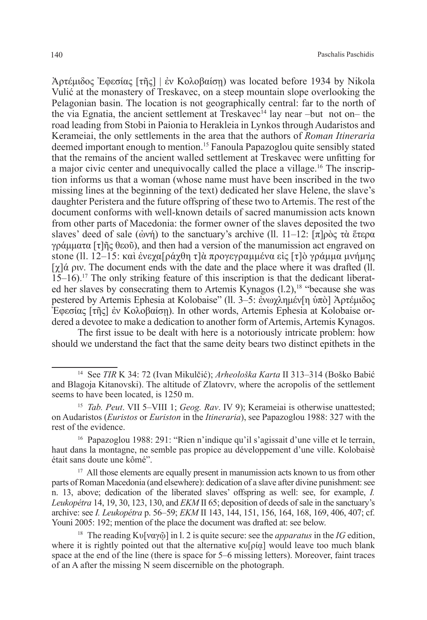$\Delta$ ρτέμιδος Έφεσίας [τῆς] | ἐν Κολοβαίση) was located before 1934 by Nikola Vulić at the monastery of Treskavec, οn a steep mountain slope overlooking the Pelagonian basin. The location is not geographically central: far to the north of the via Egnatia, the ancient settlement at Treskavec<sup> $14$ </sup> lay near –but not on– the road leading from Stobi in Paionia to Herakleia in Lynkos through Audaristos and Kerameiai, the only settlements in the area that the authors of *Roman Itineraria* deemed important enough to mention.15 Fanoula Papazoglou quite sensibly stated that the remains of the ancient walled settlement at Treskavec were unfitting for a major civic center and unequivocally called the place a village.16 The inscription informs us that a woman (whose name must have been inscribed in the two missing lines at the beginning of the text) dedicated her slave Helene, the slave's daughter Peristera and the future offspring of these two to Artemis. The rest of the document conforms with well-known details of sacred manumission acts known from other parts of Macedonia: the former owner of the slaves deposited the two slaves' deed of sale (ώνή) to the sanctuary's archive (ll. 11–12:  $\pi$ ]ρὸς τὰ ἕτερα γράμματα [τ]ῆς θεοῦ), and then had a version of the manumission act engraved on stone (ll. 12–15: καὶ ἐνεχα[ράχθη τ]ὰ προγεγραμμένα εἰς [τ]ὸ γράμμα μνήμης  $[\gamma]$ ά ριν. The document ends with the date and the place where it was drafted (ll. 15–16).17 The only striking feature of this inscription is that the dedicant liberated her slaves by consecrating them to Artemis Kynagos  $(1.2)$ ,<sup>18</sup> "because she was pestered by Artemis Ephesia at Kolobaise" (ll. 3–5: ἐνωγλημέν[η ὑπὸ] Ἀρτέμιδος Ἐφεσίας [τῆς] ἐν Κολοβαίσῃ). In other words, Artemis Ephesia at Kolobaise ordered a devotee to make a dedication to another form of Artemis, Artemis Kynagos.

The first issue to be dealt with here is a notoriously intricate problem: how should we understand the fact that the same deity bears two distinct epithets in the

<sup>14</sup> See *TIR* K 34: 72 (Ivan Mikulčić); *Arheološka Karta* II 313–314 (Boško Babić and Blagoja Kitanovski). The altitude of Zlatovrv, where the acropolis of the settlement seems to have been located, is 1250 m.

<sup>15</sup> *Tab. Peut*. VII 5–VIII 1; *Geog. Rav*. IV 9); Kerameiai is otherwise unattested; on Audaristos (*Euristos* or *Euriston* in the *Itineraria*), see Papazoglou 1988: 327 with the rest of the evidence.

<sup>&</sup>lt;sup>16</sup> Papazoglou 1988: 291: "Rien n'indique qu'il s'agissait d'une ville et le terrain, haut dans la montagne, ne semble pas propice au développement d'une ville. Kolobaisè était sans doute une kômé".

<sup>&</sup>lt;sup>17</sup> All those elements are equally present in manumission acts known to us from other parts of Roman Macedonia (and elsewhere): dedication of a slave after divine punishment: see n. 13, above; dedication of the liberated slaves' offspring as well: see, for example, *I. Leukopétra* 14, 19, 30, 123, 130, and *ΕΚΜ* ΙΙ 65; deposition of deeds of sale in the sanctuary's archive: see *I. Leukopétra* p. 56–59; *EKM* II 143, 144, 151, 156, 164, 168, 169, 406, 407; cf. Youni 2005: 192; mention of the place the document was drafted at: see below.

<sup>18</sup> The reading Κυ[ναγῷ] in l. 2 is quite secure: see the *apparatus* in the *IG* edition, where it is rightly pointed out that the alternative  $\kappa v[\rho i\alpha]$  would leave too much blank space at the end of the line (there is space for 5–6 missing letters). Moreover, faint traces of an A after the missing N seem discernible on the photograph.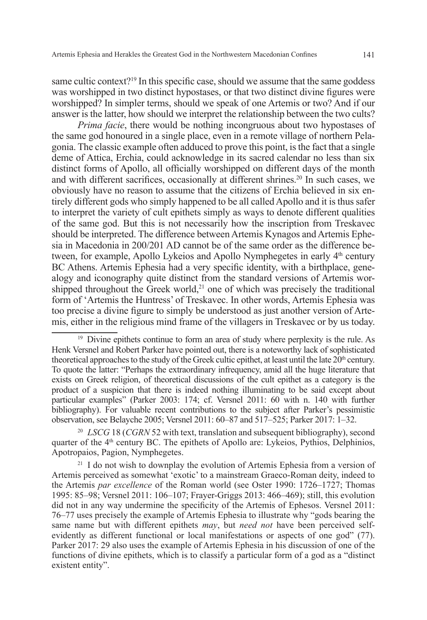same cultic context?<sup>19</sup> In this specific case, should we assume that the same goddess was worshipped in two distinct hypostases, or that two distinct divine figures were worshipped? In simpler terms, should we speak of one Artemis or two? And if our answer is the latter, how should we interpret the relationship between the two cults?

*Prima facie*, there would be nothing incongruous about two hypostases of the same god honoured in a single place, even in a remote village of northern Pelagonia. The classic example often adduced to prove this point, is the fact that a single deme of Attica, Erchia, could acknowledge in its sacred calendar no less than six distinct forms of Apollo, all officially worshipped on different days of the month and with different sacrifices, occasionally at different shrines.20 In such cases, we obviously have no reason to assume that the citizens of Erchia believed in six entirely different gods who simply happened to be all called Apollo and it is thus safer to interpret the variety of cult epithets simply as ways to denote different qualities of the same god. But this is not necessarily how the inscription from Treskavec should be interpreted. The difference between Artemis Kynagos and Artemis Ephesia in Macedonia in 200/201 AD cannot be of the same order as the difference between, for example, Apollo Lykeios and Apollo Nymphegetes in early 4<sup>th</sup> century BC Athens. Artemis Ephesia had a very specific identity, with a birthplace, genealogy and iconography quite distinct from the standard versions of Artemis worshipped throughout the Greek world,<sup>21</sup> one of which was precisely the traditional form of 'Artemis the Huntress' of Treskavec. In other words, Artemis Ephesia was too precise a divine figure to simply be understood as just another version of Artemis, either in the religious mind frame of the villagers in Treskavec or by us today.

<sup>20</sup> *LSCG* 18 (*CGRN* 52 with text, translation and subsequent bibliography), second quarter of the  $4<sup>th</sup>$  century BC. The epithets of Apollo are: Lykeios, Pythios, Delphinios, Apotropaios, Pagion, Nymphegetes.

<sup>21</sup> I do not wish to downplay the evolution of Artemis Ephesia from a version of Artemis perceived as somewhat 'exotic' to a mainstream Graeco-Roman deity, indeed to the Artemis *par excellence* of the Roman world (see Oster 1990: 1726–1727; Thomas 1995: 85–98; Versnel 2011: 106–107; Frayer-Griggs 2013: 466–469); still, this evolution did not in any way undermine the specificity of the Artemis of Ephesos. Versnel 2011: 76–77 uses precisely the example of Artemis Ephesia to illustrate why "gods bearing the same name but with different epithets *may*, but *need not* have been perceived selfevidently as different functional or local manifestations or aspects of one god" (77). Parker 2017: 29 also uses the example of Artemis Ephesia in his discussion of one of the functions of divine epithets, which is to classify a particular form of a god as a "distinct existent entity".

<sup>&</sup>lt;sup>19</sup> Divine epithets continue to form an area of study where perplexity is the rule. As Henk Versnel and Robert Parker have pointed out, there is a noteworthy lack of sophisticated theoretical approaches to the study of the Greek cultic epithet, at least until the late  $20<sup>th</sup>$  century. To quote the latter: "Perhaps the extraordinary infrequency, amid all the huge literature that exists on Greek religion, of theoretical discussions of the cult epithet as a category is the product of a suspicion that there is indeed nothing illuminating to be said except about particular examples" (Parker 2003: 174; cf. Versnel 2011: 60 with n. 140 with further bibliography). For valuable recent contributions to the subject after Parker's pessimistic observation, see Belayche 2005; Versnel 2011: 60–87 and 517–525; Parker 2017: 1–32.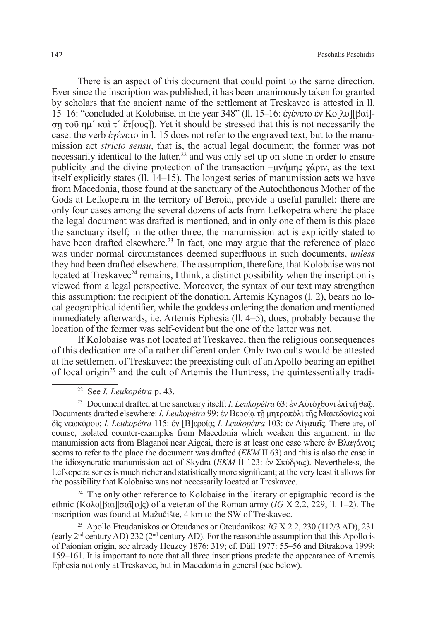There is an aspect of this document that could point to the same direction. Ever since the inscription was published, it has been unanimously taken for granted by scholars that the ancient name of the settlement at Treskavec is attested in ll. 15–16: "concluded at Kolobaise, in the year 348" (ll. 15–16: ἐγένετο ἐν Κο[λο][βαί] σῃ τοῦ ημ΄ καὶ τ΄ ἔτ[ους]). Yet it should be stressed that this is not necessarily the case: the verb ἐγένετο in l. 15 does not refer to the engraved text, but to the manumission act *stricto sensu*, that is, the actual legal document; the former was not necessarily identical to the latter, $2<sup>2</sup>$  and was only set up on stone in order to ensure publicity and the divine protection of the transaction –μνήμης χάριν, as the text itself explicitly states (ll. 14–15). The longest series of manumission acts we have from Macedonia, those found at the sanctuary of the Autochthonous Mother of the Gods at Lefkopetra in the territory of Beroia, provide a useful parallel: there are only four cases among the several dozens of acts from Lefkopetra where the place the legal document was drafted is mentioned, and in only one of them is this place the sanctuary itself; in the other three, the manumission act is explicitly stated to have been drafted elsewhere.<sup>23</sup> In fact, one may argue that the reference of place was under normal circumstances deemed superfluous in such documents, *unless* they had been drafted elsewhere. The assumption, therefore, that Kolobaise was not located at Treskavec<sup>24</sup> remains, I think, a distinct possibility when the inscription is viewed from a legal perspective. Moreover, the syntax of our text may strengthen this assumption: the recipient of the donation, Artemis Kynagos (l. 2), bears no local geographical identifier, while the goddess ordering the donation and mentioned immediately afterwards, i.e. Artemis Ephesia (ll. 4–5), does, probably because the location of the former was self-evident but the one of the latter was not.

If Kolobaise was not located at Treskavec, then the religious consequences of this dedication are of a rather different order. Only two cults would be attested at the settlement of Treskavec: the preexisting cult of an Apollo bearing an epithet of local origin25 and the cult of Artemis the Huntress, the quintessentially tradi-

<sup>24</sup> The only other reference to Kolobaise in the literary or epigraphic record is the ethnic (Κολο[βαι]|σαῖ[ο]ς) of a veteran of the Roman army (*IG* X 2.2, 229, ll. 1–2). The inscription was found at Mažučište, 4 km to the SW of Treskavec.

<sup>22</sup> See *I. Leukopétra* p. 43.

<sup>23</sup> Document drafted at the sanctuary itself: *I. Leukopétra* 63: ἐν Αὐτόχθονι ἐπὶ τῇ θεῷ. Documents drafted elsewhere: *I. Leukopétra* 99: ἐν Βεροίᾳ τῇ μητροπόλι τῆς Μακεδονίας καὶ δὶς νεωκόρου; *I. Leukopétra* 115: ἐν [Β]εροίᾳ; *I. Leukopétra* 103: ἐν Αἰγαιαῖς. There are, of course, isolated counter-examples from Macedonia which weaken this argument: in the manumission acts from Blaganoi near Aigeai, there is at least one case where ἐν Βλαγάνοις seems to refer to the place the document was drafted (*EKM* II 63) and this is also the case in the idiosyncratic manumission act of Skydra (*ΕΚΜ* II 123: ἐν Σκύδρας). Nevertheless, the Lefkopetra series is much richer and statistically more significant; at the very least it allows for the possibility that Kolobaise was not necessarily located at Treskavec.

<sup>25</sup> Apollo Eteudaniskos or Oteudanos or Oteudanikos: *IG* X 2.2, 230 (112/3 AD), 231 (early  $2<sup>nd</sup>$  century AD) 232 ( $2<sup>nd</sup>$  century AD). For the reasonable assumption that this Apollo is of Paionian origin, see already Heuzey 1876: 319; cf. Düll 1977: 55–56 and Bitrakova 1999: 159–161. It is important to note that all three inscriptions predate the appearance of Artemis Ephesia not only at Treskavec, but in Macedonia in general (see below).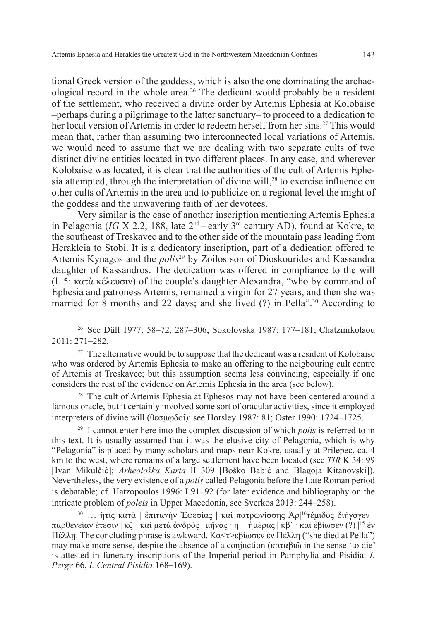tional Greek version of the goddess, which is also the one dominating the archaeological record in the whole area.26 The dedicant would probably be a resident of the settlement, who received a divine order by Artemis Ephesia at Kolobaise –perhaps during a pilgrimage to the latter sanctuary– to proceed to a dedication to her local version of Artemis in order to redeem herself from her sins.27 This would mean that, rather than assuming two interconnected local variations of Artemis, we would need to assume that we are dealing with two separate cults of two distinct divine entities located in two different places. In any case, and wherever Kolobaise was located, it is clear that the authorities of the cult of Artemis Ephesia attempted, through the interpretation of divine will,<sup>28</sup> to exercise influence on other cults of Artemis in the area and to publicize on a regional level the might of the goddess and the unwavering faith of her devotees.

Very similar is the case of another inscription mentioning Artemis Ephesia in Pelagonia (*IG* X 2.2, 188, late  $2<sup>nd</sup>$  – early  $3<sup>rd</sup>$  century AD), found at Kokre, to the southeast of Treskavec and to the other side of the mountain pass leading from Herakleia to Stobi. It is a dedicatory inscription, part of a dedication offered to Artemis Kynagos and the *polis*29 by Zoilos son of Dioskourides and Kassandra daughter of Kassandros. The dedication was offered in compliance to the will (l. 5: κατὰ κέλευσιν) of the couple's daughter Alexandra, "who by command of Ephesia and patroness Artemis, remained a virgin for 27 years, and then she was married for 8 months and 22 days; and she lived  $(?)$  in Pella".<sup>30</sup> According to

<sup>26</sup> See Düll 1977: 58–72, 287–306; Sokolovska 1987: 177–181; Chatzinikolaou 2011: 271–282.

 $27$  The alternative would be to suppose that the dedicant was a resident of Kolobaise who was ordered by Artemis Ephesia to make an offering to the neigbouring cult centre of Artemis at Treskavec; but this assumption seems less convincing, especially if one considers the rest of the evidence on Artemis Ephesia in the area (see below).

<sup>28</sup> The cult of Artemis Ephesia at Ephesos may not have been centered around a famous oracle, but it certainly involved some sort of oracular activities, since it employed interpreters of divine will (θεσμῳδοί): see Horsley 1987: 81; Oster 1990: 1724–1725.

<sup>29</sup> I cannot enter here into the complex discussion of which *polis* is referred to in this text. It is usually assumed that it was the elusive city of Pelagonia, which is why "Pelagonia" is placed by many scholars and maps near Kokre, usually at Prilepec, ca. 4 km to the west, where remains of a large settlement have been located (see *TIR* K 34: 99 [Ivan Mikulčić]; *Arheološka Karta* II 309 [Boško Babić and Blagoja Kitanovski]). Nevertheless, the very existence of a *polis* called Pelagonia before the Late Roman period is debatable; cf. Hatzopoulos 1996: I 91–92 (for later evidence and bibliography on the intricate problem of *poleis* in Upper Macedonia, see Sverkos 2013: 244–258).

<sup>30</sup> … ἥτις κατὰ | ἐπιταγὴν Ἐφεσίας | καὶ πατρωνίσσης Ἀρ| 10τέμιδος διήγαγεν | παρθενείαν ἔτεσιν | κζ΄∙ καὶ μετὰ ἀνδρὸς | μῆνας ∙ η΄ ∙ ἡμέρας | κβ΄ ∙ καὶ ἐβίωσεν (?) |15 ἐν Πέλλῃ. The concluding phrase is awkward. Κα<τ>εβίωσεν ἐν Πέλλῃ ("she died at Pella") may make more sense, despite the absence of a conjuction (καταβιῶ in the sense 'to die' is attested in funerary inscriptions of the Imperial period in Pamphylia and Pisidia: *I. Perge* 66, *I. Central Pisidia* 168–169).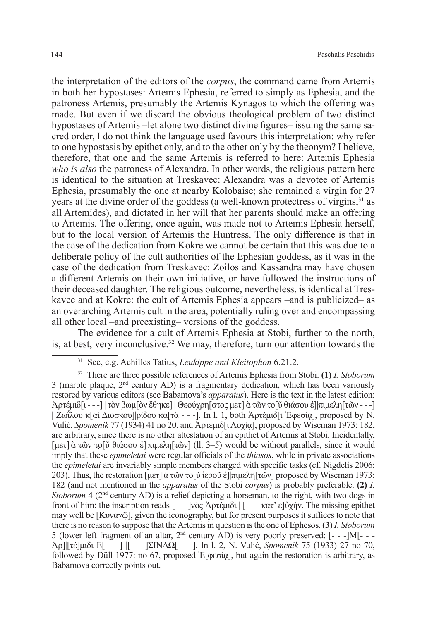the interpretation of the editors of the *corpus*, the command came from Artemis in both her hypostases: Artemis Ephesia, referred to simply as Ephesia, and the patroness Artemis, presumably the Artemis Kynagos to which the offering was made. But even if we discard the obvious theological problem of two distinct hypostases of Artemis –let alone two distinct divine figures– issuing the same sacred order, I do not think the language used favours this interpretation: why refer to one hypostasis by epithet only, and to the other only by the theonym? I believe, therefore, that one and the same Artemis is referred to here: Artemis Ephesia *who is also* the patroness of Alexandra. In other words, the religious pattern here is identical to the situation at Treskavec: Alexandra was a devotee of Artemis Ephesia, presumably the one at nearby Kolobaise; she remained a virgin for 27 years at the divine order of the goddess (a well-known protectress of virgins,31 as all Artemides), and dictated in her will that her parents should make an offering to Artemis. The offering, once again, was made not to Artemis Ephesia herself, but to the local version of Artemis the Huntress. The only difference is that in the case of the dedication from Kokre we cannot be certain that this was due to a deliberate policy of the cult authorities of the Ephesian goddess, as it was in the case of the dedication from Treskavec: Zoilos and Kassandra may have chosen a different Artemis on their own initiative, or have followed the instructions of their deceased daughter. The religious outcome, nevertheless, is identical at Treskavec and at Kokre: the cult of Artemis Ephesia appears –and is publicized– as an overarching Artemis cult in the area, potentially ruling over and encompassing all other local –and preexisting– versions of the goddess.

The evidence for a cult of Artemis Ephesia at Stobi, further to the north, is, at best, very inconclusive.<sup>32</sup> We may, therefore, turn our attention towards the

<sup>31</sup> See, e.g. Achilles Tatius, *Leukippe and Kleitophon* 6.21.2.

<sup>32</sup> There are three possible references of Artemis Ephesia from Stobi: **(1)** *Ι. Stoborum*   $3$  (marble plaque,  $2<sup>nd</sup>$  century AD) is a fragmentary dedication, which has been variously restored by various editors (see Babamova's *apparatus*). Here is the text in the latest edition: Ἀρτέμιδ[ι - - -] | τὸν βωμ[ὸν ἔθηκε] | Θεούχρη[στος μετ]|ὰ τῶν το[ῦ θιάσου ἐ]|πιμελη[τῶν - - -] | Ζωΐλου κ[αὶ Διοσκου]|ρίδου κα[τὰ - - -]. In l. 1, both Ἀρτέμιδ[ι Ἐφεσίᾳ], proposed by N. Vulić, *Spomenik* 77 (1934) 41 no 20, and Ἀρτέμιδ[ιΛοχίᾳ], proposed by Wiseman 1973: 182, are arbitrary, since there is no other attestation of an epithet of Artemis at Stobi. Incidentally, [μετ]|ὰ τῶν το̣[ῦ θιάσου ἐ]|πιμελη[τῶν] (ll. 3–5) would be without parallels, since it would imply that these *epimeletai* were regular officials of the *thiasos*, while in private associations the *epimeletai* are invariably simple members charged with specific tasks (cf. Nigdelis 2006: 203). Thus, the restoration  $\left[\mu \epsilon \tau\right]\right]$ ά τῶν το $\left[\tilde{v}$  iεροῦ ἐ $\left[\pi \mu \epsilon \lambda \eta\right]$  are  $\left[\alpha \tilde{v}\right]$  proposed by Wiseman 1973: 182 (and not mentioned in the *apparatus* of the Stobi *corpus*) is probably preferable. **(2)** *Ι. Stoborum* 4 (2<sup>nd</sup> century AD) is a relief depicting a horseman, to the right, with two dogs in front of him: the inscription reads [- - -]νὸς Ἀρτέμιδι | [- - - κατ' ε]ὐχήν. The missing epithet may well be [Κυναγῷ], given the iconography, but for present purposes it suffices to note that there is no reason to suppose that the Artemis in question is the one of Ephesos. **(3)***Ι. Stoborum*  5 (lower left fragment of an altar, 2nd century AD) is very poorly preserved: [- - -]Μ[- - - Ἀρ]|[τέ]μιδι Ε[- - -] |[- - -]ΣΙΝΔΩ[- - -]. In l. 2, N. Vulić, *Spomenik* 75 (1933) 27 no 70, followed by Düll 1977: no 67, proposed Ἐ $[\varphi \in \sigma \alpha]$ , but again the restoration is arbitrary, as Babamova correctly points out.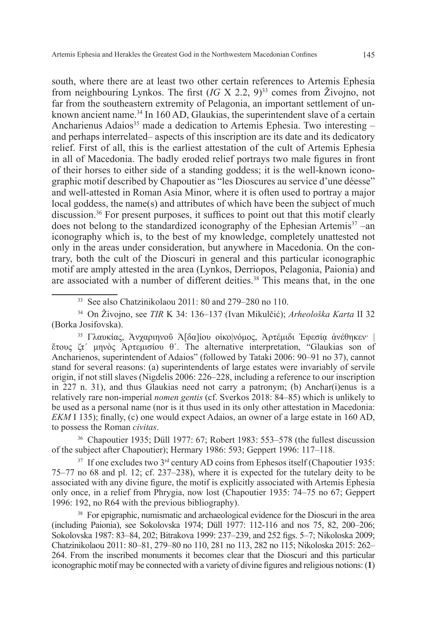south, where there are at least two other certain references to Artemis Ephesia from neighbouring Lynkos. The first  $(IG \times 2.2, 9)^{33}$  comes from Živojno, not far from the southeastern extremity of Pelagonia, an important settlement of unknown ancient name.<sup>34</sup> In 160 AD, Glaukias, the superintendent slave of a certain Ancharienus Adaios<sup>35</sup> made a dedication to Artemis Ephesia. Two interesting and perhaps interrelated– aspects of this inscription are its date and its dedicatory relief. First of all, this is the earliest attestation of the cult of Artemis Ephesia in all of Macedonia. The badly eroded relief portrays two male figures in front of their horses to either side of a standing goddess; it is the well-known iconographic motif described by Chapoutier as "les Dioscures au service d'une déesse" and well-attested in Roman Asia Minor, where it is often used to portray a major local goddess, the name(s) and attributes of which have been the subject of much discussion.36 For present purposes, it suffices to point out that this motif clearly does not belong to the standardized iconography of the Ephesian Artemis<sup>37</sup> –an iconography which is, to the best of my knowledge, completely unattested not only in the areas under consideration, but anywhere in Macedonia. On the contrary, both the cult of the Dioscuri in general and this particular iconographic motif are amply attested in the area (Lynkos, Derriopos, Pelagonia, Paionia) and are associated with a number of different deities.<sup>38</sup> This means that, in the one

<sup>33</sup> See also Chatzinikolaou 2011: 80 and 279–280 no 110.

<sup>34</sup> On Živojno, see *TIR* K 34: 136–137 (Ivan Mikulčić); *Arheološka Karta* II 32 (Borka Josifovska).

<sup>35</sup> Γλαυκίας, Ἀνχαριηνοῦ Ἁ[δα]ίου οἰκο|νόμος, Ἀρτέμιδι Ἐφεσίᾳ ἀνέθηκεν· | ἔτους ζτ΄ μηνὸς Ἀρτεμισίου θ΄. The alternative interpretation, "Glaukias son of Ancharienos, superintendent of Adaios" (followed by Tataki 2006: 90–91 no 37), cannot stand for several reasons: (a) superintendents of large estates were invariably of servile origin, if not still slaves (Nigdelis 2006: 226–228, including a reference to our inscription in 227 n. 31), and thus Glaukias need not carry a patronym; (b) Anchar(i)enus is a relatively rare non-imperial *nomen gentis* (cf. Sverkos 2018: 84–85) which is unlikely to be used as a personal name (nor is it thus used in its only other attestation in Macedonia: *EKM* I 135); finally, (c) one would expect Adaios, an owner of a large estate in 160 AD, to possess the Roman *civitas*.

<sup>36</sup> Chapoutier 1935; Düll 1977: 67; Robert 1983: 553–578 (the fullest discussion of the subject after Chapoutier); Hermary 1986: 593; Geppert 1996: 117–118.

 $37$  If one excludes two  $3<sup>rd</sup>$  century AD coins from Ephesos itself (Chapoutier 1935: 75–77 no 68 and pl. 12; cf. 237–238), where it is expected for the tutelary deity to be associated with any divine figure, the motif is explicitly associated with Artemis Ephesia only once, in a relief from Phrygia, now lost (Chapoutier 1935: 74–75 no 67; Geppert 1996: 192, no R64 with the previous bibliography).

<sup>38</sup> For epigraphic, numismatic and archaeological evidence for the Dioscuri in the area (including Paionia), see Sokolovska 1974; Düll 1977: 112-116 and nos 75, 82, 200–206; Sokolovska 1987: 83–84, 202; Bitrakova 1999: 237–239, and 252 figs. 5–7; Nikoloska 2009; Chatzinikolaou 2011: 80–81, 279–80 no 110, 281 no 113, 282 no 115; Nikoloska 2015: 262– 264. From the inscribed monuments it becomes clear that the Dioscuri and this particular iconographic motif may be connected with a variety of divine figures and religious notions: (**1**)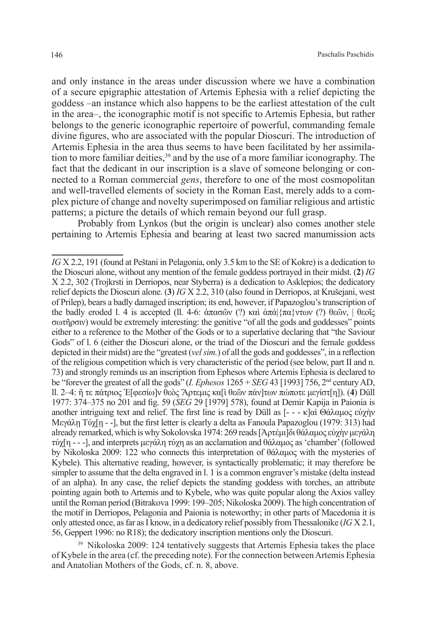and only instance in the areas under discussion where we have a combination of a secure epigraphic attestation of Artemis Ephesia with a relief depicting the goddess –an instance which also happens to be the earliest attestation of the cult in the area–, the iconographic motif is not specific to Artemis Ephesia, but rather belongs to the generic iconographic repertoire of powerful, commanding female divine figures, who are associated with the popular Dioscuri. The introduction of Artemis Ephesia in the area thus seems to have been facilitated by her assimilation to more familiar deities,<sup>39</sup> and by the use of a more familiar iconography. The fact that the dedicant in our inscription is a slave of someone belonging or connected to a Roman commercial *gens*, therefore to one of the most cosmopolitan and well-travelled elements of society in the Roman East, merely adds to a complex picture of change and novelty superimposed on familiar religious and artistic patterns; a picture the details of which remain beyond our full grasp.

Probably from Lynkos (but the origin is unclear) also comes another stele pertaining to Artemis Ephesia and bearing at least two sacred manumission acts

<sup>39</sup> Nikoloska 2009: 124 tentatively suggests that Artemis Ephesia takes the place of Kybele in the area (cf. the preceding note). For the connection between Artemis Ephesia and Anatolian Mothers of the Gods, cf. n. 8, above.

*IG* X 2.2, 191 (found at Peštani in Pelagonia, only 3.5 km to the SE of Kokre) is a dedication to the Dioscuri alone, without any mention of the female goddess portrayed in their midst. (**2**) *IG* X 2.2, 302 (Trojkrsti in Derriopos, near Styberra) is a dedication to Asklepios; the dedicatory relief depicts the Dioscuri alone. (**3**) *IG* X 2.2, 310 (also found in Derriopos, at Krušejani, west of Prilep), bears a badly damaged inscription; its end, however, if Papazoglou's transcription of the badly eroded l. 4 is accepted (ll. 4-6: άπασῶν (?) καὶ άπά $\pi\alpha\pi\gamma\pi\alpha\nu$  (?) θεῶν,  $\theta\pi\alpha\pi\alpha\pi\alpha$ σωτῆρσιν) would be extremely interesting: the genitive "of all the gods and goddesses" points either to a reference to the Mother of the Gods or to a superlative declaring that "the Saviour Gods" of l. 6 (either the Dioscuri alone, or the triad of the Dioscuri and the female goddess depicted in their midst) are the "greatest (*vel sim.*) of all the gods and goddesses", in a reflection of the religious competition which is very characteristic of the period (see below, part II and n. 73) and strongly reminds us an inscription from Ephesos where Artemis Ephesia is declared to be "forever the greatest of all the gods" (*I. Ephesos* 1265 + *SEG* 43 [1993] 756, 2nd century AD, ll. 2–4: ἥ τε πάτριος Ἐ[φεσίω]ν θεὸς Ἄρτεμις κα[ὶ θεῶν πάν]των πώποτε μεγίστ[η]). (**4**) Düll 1977: 374–375 no 201 and fig. 59 (*SEG* 29 [1979] 578), found at Demir Kapija in Paionia is another intriguing text and relief. The first line is read by Düll as [- - - κ]αὶ Θάλαμος εὐχὴν Μεγάλῃ Τύχ[ῃ - -], but the first letter is clearly a delta as Fanoula Papazoglou (1979: 313) had already remarked, which is why Sokolovska 1974: 269 reads [Ἀρτέμι]δι θάλαμος εὐχὴν μεγάλη τύχ[η - - -], and interprets μεγάλη τύχη as an acclamation and θάλαμος as 'chamber' (followed by Nikoloska 2009: 122 who connects this interpretation of θάλαμος with the mysteries of Kybele). This alternative reading, however, is syntactically problematic; it may therefore be simpler to assume that the delta engraved in l. 1 is a common engraver's mistake (delta instead of an alpha). In any case, the relief depicts the standing goddess with torches, an attribute pointing again both to Artemis and to Kybele, who was quite popular along the Axios valley until the Roman period (Bitrakova 1999: 199–205; Nikoloska 2009). The high concentration of the motif in Derriopos, Pelagonia and Paionia is noteworthy; in other parts of Macedonia it is only attested once, as far as I know, in a dedicatory relief possibly from Thessalonike (*IG* X 2.1, 56, Geppert 1996: no R18); the dedicatory inscription mentions only the Dioscuri.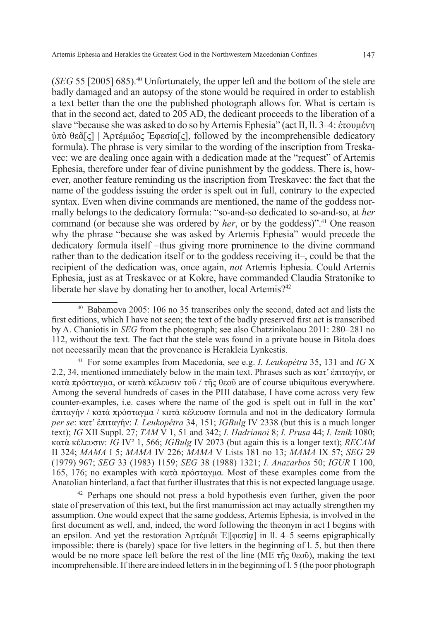(*SEG* 55 [2005] 685).40 Unfortunately, the upper left and the bottom of the stele are badly damaged and an autopsy of the stone would be required in order to establish a text better than the one the published photograph allows for. What is certain is that in the second act, dated to 205 AD, the dedicant proceeds to the liberation of a slave "because she was asked to do so by Artemis Ephesia" (act II, ll. 3–4: ἐτουμένη ὑπὸ θεᾶ[ς] | Ἀρτέμιδος Ἐφεσία[ς], followed by the incomprehensible dedicatory formula). The phrase is very similar to the wording of the inscription from Treskavec: we are dealing once again with a dedication made at the "request" of Artemis Ephesia, therefore under fear of divine punishment by the goddess. There is, however, another feature reminding us the inscription from Treskavec: the fact that the name of the goddess issuing the order is spelt out in full, contrary to the expected syntax. Even when divine commands are mentioned, the name of the goddess normally belongs to the dedicatory formula: "so-and-so dedicated to so-and-so, at *her* command (or because she was ordered by *her*, or by the goddess)".<sup>41</sup> One reason why the phrase "because she was asked by Artemis Ephesia" would precede the dedicatory formula itself –thus giving more prominence to the divine command rather than to the dedication itself or to the goddess receiving it–, could be that the recipient of the dedication was, once again, *not* Artemis Ephesia. Could Artemis Ephesia, just as at Treskavec or at Kokre, have commanded Claudia Stratonike to liberate her slave by donating her to another, local Artemis?<sup>42</sup>

<sup>40</sup> Babamova 2005: 106 no 35 transcribes only the second, dated act and lists the first editions, which I have not seen; the text of the badly preserved first act is transcribed by A. Chaniotis in *SEG* from the photograph; see also Chatzinikolaou 2011: 280–281 no 112, without the text. The fact that the stele was found in a private house in Bitola does not necessarily mean that the provenance is Herakleia Lynkestis.

<sup>41</sup> For some examples from Macedonia, see e.g. *I. Leukopétra* 35, 131 and *IG* X 2.2, 34, mentioned immediately below in the main text. Phrases such as κατ' ἐπιταγήν, or κατὰ πρόσταγμα, or κατὰ κέλευσιν τοῦ / τῆς θεοῦ are of course ubiquitous everywhere. Among the several hundreds of cases in the PHI database, I have come across very few counter-examples, i.e. cases where the name of the god is spelt out in full in the  $\kappa \alpha \tau$ '  $\frac{\partial \pi}{\partial x}$  (κατὰ πρόσταγμα / κατὰ κέλευσιν formula and not in the dedicatory formula *per se*: κατ' ἐπιταγήν: *I. Leukopétra* 34, 151; *IGBulg* IV 2338 (but this is a much longer text); *IG* XII Suppl. 27; *ΤΑΜ* V 1, 51 and 342; *I. Hadrianoi* 8; *I. Prusa* 44; *I. Iznik* 1080; κατὰ κέλευσιν: *IG* IV² 1, 566; *IGBulg* IV 2073 (but again this is a longer text); *RECAM* II 324; *MAMA* I 5; *MAMA* IV 226; *MAMA* V Lists 181 no 13; *MAMA* IX 57; *SEG* 29 (1979) 967; *SEG* 33 (1983) 1159; *SEG* 38 (1988) 1321; *I. Anazarbos* 50; *IGUR* I 100, 165, 176; no examples with κατὰ πρόσταγμα. Most of these examples come from the Anatolian hinterland, a fact that further illustrates that this is not expected language usage.

<sup>42</sup> Perhaps one should not press a bold hypothesis even further, given the poor state of preservation of this text, but the first manumission act may actually strengthen my assumption. One would expect that the same goddess, Artemis Ephesia, is involved in the first document as well, and, indeed, the word following the theonym in act I begins with an epsilon. And yet the restoration Ἀρτέμιδι Ἐ|[φεσίᾳ] in ll. 4–5 seems epigraphically impossible: there is (barely) space for five letters in the beginning of l. 5, but then there would be no more space left before the rest of the line (ME  $\tau$ ης θεοῦ), making the text incomprehensible. If there are indeed letters in in the beginning of l. 5 (the poor photograph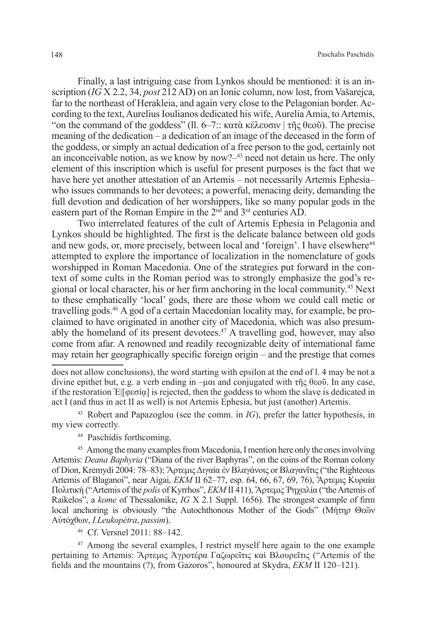Finally, a last intriguing case from Lynkos should be mentioned: it is an inscription (*IG* X 2.2, 34, *post* 212 AD) on an Ionic column, now lost, from Vašarejca, far to the northeast of Herakleia, and again very close to the Pelagonian border. According to the text, Aurelius Ioulianos dedicated his wife, Aurelia Amia, to Artemis, "on the command of the goddess" (11. 6–7:: κατὰ κέλευσιν | τῆς θεοῦ). The precise meaning of the dedication – a dedication of an image of the deceased in the form of the goddess, or simply an actual dedication of a free person to the god, certainly not an inconceivable notion, as we know by now?–43 need not detain us here. The only element of this inscription which is useful for present purposes is the fact that we have here yet another attestation of an Artemis – not necessarily Artemis Ephesia– who issues commands to her devotees; a powerful, menacing deity, demanding the full devotion and dedication of her worshippers, like so many popular gods in the eastern part of the Roman Empire in the 2nd and 3rd centuries AD.

Two interrelated features of the cult of Artemis Ephesia in Pelagonia and Lynkos should be highlighted. The first is the delicate balance between old gods and new gods, or, more precisely, between local and 'foreign'. I have elsewhere<sup>44</sup> attempted to explore the importance of localization in the nomenclature of gods worshipped in Roman Macedonia. One of the strategies put forward in the context of some cults in the Roman period was to strongly emphasize the god's regional or local character, his or her firm anchoring in the local community.45 Next to these emphatically 'local' gods, there are those whom we could call metic or travelling gods.46 A god of a certain Macedonian locality may, for example, be proclaimed to have originated in another city of Macedonia, which was also presumably the homeland of its present devotees.<sup>47</sup> A travelling god, however, may also come from afar. A renowned and readily recognizable deity of international fame may retain her geographically specific foreign origin – and the prestige that comes

<sup>43</sup> Robert and Papazoglou (see the comm. in *IG*), prefer the latter hypothesis, in my view correctly.

<sup>44</sup> Paschidis forthcoming.

<sup>45</sup> Among the many examples from Macedonia, I mention here only the ones involving Artemis: *Deana Baphyria* ("Diana of the river Baphyras", on the coins of the Roman colony of Dion, Kremydi 2004: 78–83); ἌρτεμιςΔιγαία ἐν Βλαγάνοις or Βλαγανῖτις ("the Righteous Artemis of Blaganoi", near Aigai, *ΕΚΜ* ΙΙ 62–77, esp. 64, 66, 67, 69, 76), Ἄρτεμις Κυραία Πολιτική ("Artemis of the *polis* of Kyrrhos", *EKM* II 411), Ἄρτεμις Ῥηχειλία ("the Artemis of Raikelos", a *kome* of Thessalonike, *IG* X 2.1 Suppl. 1656). The strongest example of firm local anchoring is obviously "the Autochthonous Mother of the Gods" (Μήτηρ Θεῶν Αὐτόχθων, *I.Leukopétra*, *passim*).

<sup>46</sup> Cf. Versnel 2011: 88–142.

<sup>47</sup> Among the several examples, I restrict myself here again to the one example pertaining to Artemis: Ἄρτεμις Ἀγροτέρα Γαζωρεῖτις καὶ Βλουρεῖτις ("Artemis of the fields and the mountains (?), from Gazoros", honoured at Skydra, *EKM* II 120–121).

does not allow conclusions), the word starting with epsilon at the end of l. 4 may be not a divine epithet but, e.g. a verb ending in –μαι and conjugated with τῆς θεοῦ. In any case, if the restoration E  $\alpha$  is rejected, then the goddess to whom the slave is dedicated in act I (and thus in act II as well) is not Artemis Ephesia, but just (another) Artemis.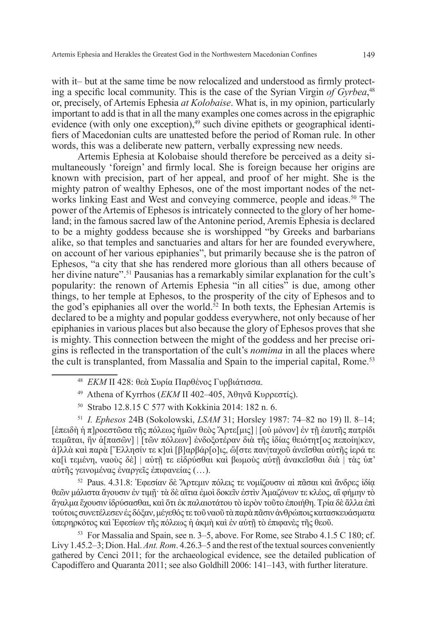with it– but at the same time be now relocalized and understood as firmly protecting a specific local community. This is the case of the Syrian Virgin *of Gyrbea*, 48 or, precisely, of Artemis Ephesia *at Kolobaise*. What is, in my opinion, particularly important to add is that in all the many examples one comes across in the epigraphic evidence (with only one exception), $49$  such divine epithets or geographical identifiers of Macedonian cults are unattested before the period of Roman rule. In other words, this was a deliberate new pattern, verbally expressing new needs.

Artemis Ephesia at Kolobaise should therefore be perceived as a deity simultaneously 'foreign' and firmly local. She is foreign because her origins are known with precision, part of her appeal, and proof of her might. She is the mighty patron of wealthy Ephesos, one of the most important nodes of the networks linking East and West and conveying commerce, people and ideas.<sup>50</sup> The power of the Artemis of Ephesos is intricately connected to the glory of her homeland; in the famous sacred law of the Antonine period, Aremis Ephesia is declared to be a mighty goddess because she is worshipped "by Greeks and barbarians alike, so that temples and sanctuaries and altars for her are founded everywhere, on account of her various epiphanies", but primarily because she is the patron of Ephesos, "a city that she has rendered more glorious than all others because of her divine nature".<sup>51</sup> Pausanias has a remarkably similar explanation for the cult's popularity: the renown of Artemis Ephesia "in all cities" is due, among other things, to her temple at Ephesos, to the prosperity of the city of Ephesos and to the god's epiphanies all over the world.<sup>52</sup> In both texts, the Ephesian Artemis is declared to be a mighty and popular goddess everywhere, not only because of her epiphanies in various places but also because the glory of Ephesos proves that she is mighty. This connection between the might of the goddess and her precise origins is reflected in the transportation of the cult's *nomima* in all the places where the cult is transplanted, from Massalia and Spain to the imperial capital, Rome.53

- <sup>48</sup> *EKM* II 428: θεὰ Συρία Παρθένος Γυρβιάτισσα.
- <sup>49</sup> Athena of Kyrrhos (*ΕΚΜ* ΙΙ 402–405, Ἀθηνᾶ Κυρρεστίς).
- <sup>50</sup> Strabo 12.8.15 C 577 with Kokkinia 2014: 182 n. 6.

<sup>51</sup> *I. Ephesos* 24B (Sokolowski, *LSAM* 31; Horsley 1987: 74–82 no 19) ll. 8–14; [ἐπειδὴ ἡ π]ροεστῶσα τῆς πόλεως ἡμῶν θεὸς Ἄρτε[μις] | [οὐ μόνον] ἐν τῇ ἑαυτῆς πατρίδι τειμᾶται, ἣν ἁ[πασῶν] | [τῶν πόλεων] ἐνδοξοτέραν διὰ τῆς ἰδίας θειότητ[ος πεποίη|κεν, ἀ]λλὰ καὶ παρ̣ὰ [Ἕλλησίν τε κ]αὶ [β]αρβάρ[ο]ις, ὥ[στε παν|ταχοῦ ἀνεῖσθαι αὐτῆς ἱερά τε κα[ὶ τεμένη, ναοὺς δὲ] | αὐτῇ τε εἱδρύσθαι καὶ βωμοὺς αὐτῇ ἀνακεῖσθαι διὰ | τὰς ὑπ' αὐτῆς γεινομένας ἐναργεῖς ἐπιφανείας (…).

<sup>52</sup> Paus. 4.31.8: Ἐφεσίαν δὲ Ἄρτεμιν πόλεις τε νομίζουσιν αἱ πᾶσαι καὶ ἄνδρες ἰδίᾳ θεῶν μάλιστα ἄγουσιν ἐν τιμῇ· τὰ δὲ αἴτια ἐμοὶ δοκεῖν ἐστὶν Ἀμαζόνων τε κλέος, αἳ φήμην τὸ ἄγαλμα ἔχουσιν ἱδρύσασθαι, καὶ ὅτι ἐκ παλαιοτάτου τὸ ἱερὸν τοῦτο ἐποιήθη. Tρία δὲ ἄλλα ἐπὶ τούτοιςσυνετέλεσεν ἐςδόξαν, μέγεθός τε τοῦναοῦτὰπαρὰπᾶσινἀνθρώποιςκατασκευάσματα ὑπερηρκότος καὶ Ἐφεσίων τῆς πόλεως ἡ ἀκμὴ καὶ ἐν αὐτῇ τὸ ἐπιφανὲς τῆς θεοῦ.

<sup>53</sup> For Massalia and Spain, see n. 3–5, above. For Rome, see Strabo 4.1.5 C 180; cf. Livy 1.45.2–3; Dion. Hal. *Ant. Rom*. 4.26.3–5 and the rest of the textual sources conveniently gathered by Cenci 2011; for the archaeological evidence, see the detailed publication of Capodiffero and Quaranta 2011; see also Goldhill 2006: 141–143, with further literature.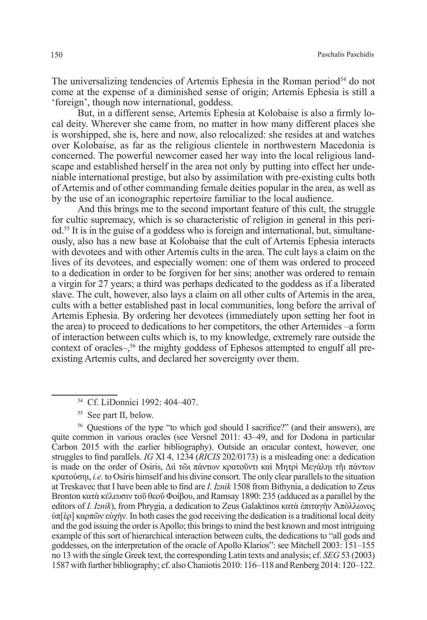The universalizing tendencies of Artemis Ephesia in the Roman period $<sup>54</sup>$  do not</sup> come at the expense of a diminished sense of origin; Artemis Ephesia is still a 'foreign', though now international, goddess.

But, in a different sense, Artemis Ephesia at Kolobaise is also a firmly local deity. Wherever she came from, no matter in how many different places she is worshipped, she is, here and now, also relocalized: she resides at and watches over Kolobaise, as far as the religious clientele in northwestern Macedonia is concerned. The powerful newcomer eased her way into the local religious landscape and established herself in the area not only by putting into effect her undeniable international prestige, but also by assimilation with pre-existing cults both of Artemis and of other commanding female deities popular in the area, as well as by the use of an iconographic repertoire familiar to the local audience.

And this brings me to the second important feature of this cult, the struggle for cultic supremacy, which is so characteristic of religion in general in this period.<sup>55</sup> It is in the guise of a goddess who is foreign and international, but, simultaneously, also has a new base at Kolobaise that the cult of Artemis Ephesia interacts with devotees and with other Artemis cults in the area. The cult lays a claim on the lives of its devotees, and especially women: one of them was ordered to proceed to a dedication in order to be forgiven for her sins; another was ordered to remain a virgin for 27 years; a third was perhaps dedicated to the goddess as if a liberated slave. The cult, however, also lays a claim on all other cults of Artemis in the area, cults with a better established past in local communities, long before the arrival of Artemis Ephesia. By ordering her devotees (immediately upon setting her foot in the area) to proceed to dedications to her competitors, the other Artemides –a form of interaction between cults which is, to my knowledge, extremely rare outside the context of oracles–,<sup>56</sup> the mighty goddess of Ephesos attempted to engulf all preexisting Artemis cults, and declared her sovereignty over them.

<sup>55</sup> See part II, below.

<sup>56</sup> Questions of the type "to which god should I sacrifice?" (and their answers), are quite common in various oracles (see Versnel 2011: 43–49, and for Dodona in particular Carbon 2015 with the earlier bibliography). Outside an oracular context, however, one struggles to find parallels. *IG* XI 4, 1234 (*RICIS* 202/0173) is a misleading one: a dedication is made on the order of Osiris, Διὶ τῶι πάντων κρατοῦντι καὶ Μητρὶ Μεγάληι τῆι πάντων κρατούσηι, *i.e.* to Osiris himself and his divine consort. The only clear parallels to the situation at Treskavec that I have been able to find are *I. Iznik* 1508 from Bithynia, a dedication to Zeus Bronton κατὰ κέλευσιν τοῦ θεοῦ Φοίβου, and Ramsay 1890: 235 (adduced as a parallel by the editors of *I. Iznik*), from Phrygia, a dedication to Zeus Galaktinos κατὰ ἐπιταγὴν Ἀπόλλωνος ὑπ[ὲρ] καρπῶν εὐχήν. In both cases the god receiving the dedication is a traditional local deity and the god issuing the order is Apollo; this brings to mind the best known and most intriguing example of this sort of hierarchical interaction between cults, the dedications to "all gods and goddesses, on the interpretation of the oracle of Apollo Klarios": see Mitchell 2003: 151–155 no 13 with the single Greek text, the corresponding Latin texts and analysis; cf. *SEG* 53 (2003) 1587 with further bibliography; cf. also Chaniotis 2010: 116–118 and Renberg 2014: 120–122.

<sup>54</sup> Cf. LiDonnici 1992: 404–407.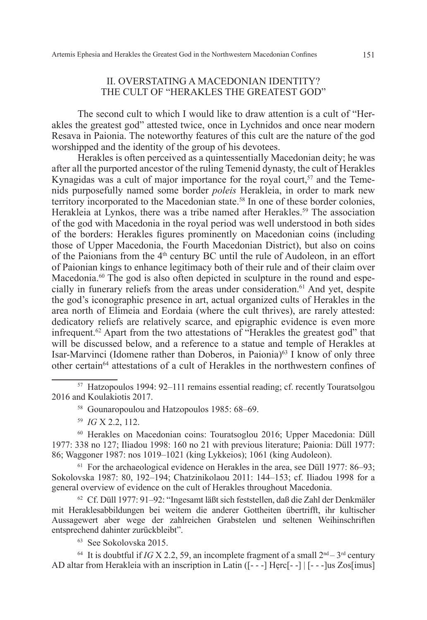### ΙI. OVERSTATING A MACEDONIAN IDENTITY? THE CULT OF "HERAKLES THE GREATEST GOD"

The second cult to which I would like to draw attention is a cult of "Herakles the greatest god" attested twice, once in Lychnidos and once near modern Resava in Paionia. The noteworthy features of this cult are the nature of the god worshipped and the identity of the group of his devotees.

Herakles is often perceived as a quintessentially Macedonian deity; he was after all the purported ancestor of the ruling Temenid dynasty, the cult of Herakles Kynagidas was a cult of major importance for the royal court,<sup>57</sup> and the Temenids purposefully named some border *poleis* Herakleia, in order to mark new territory incorporated to the Macedonian state.<sup>58</sup> In one of these border colonies, Herakleia at Lynkos, there was a tribe named after Herakles.<sup>59</sup> The association of the god with Macedonia in the royal period was well understood in both sides of the borders: Herakles figures prominently on Macedonian coins (including those of Upper Macedonia, the Fourth Macedonian District), but also on coins of the Paionians from the 4th century BC until the rule of Audoleon, in an effort of Paionian kings to enhance legitimacy both of their rule and of their claim over Macedonia. $60$  The god is also often depicted in sculpture in the round and especially in funerary reliefs from the areas under consideration.<sup>61</sup> And yet, despite the god's iconographic presence in art, actual organized cults of Herakles in the area north of Elimeia and Eordaia (where the cult thrives), are rarely attested: dedicatory reliefs are relatively scarce, and epigraphic evidence is even more infrequent.<sup>62</sup> Apart from the two attestations of "Herakles the greatest god" that will be discussed below, and a reference to a statue and temple of Herakles at Isar-Marvinci (Idomene rather than Doberos, in Paionia)<sup>63</sup> I know of only three other certain<sup>64</sup> attestations of a cult of Herakles in the northwestern confines of

<sup>59</sup> *IG* X 2.2, 112.

<sup>60</sup> Herakles on Macedonian coins: Touratsoglou 2016; Upper Macedonia: Düll 1977: 338 no 127; Iliadou 1998: 160 no 21 with previous literature; Paionia: Düll 1977: 86; Waggoner 1987: nos 1019–1021 (king Lykkeios); 1061 (king Audoleon).

 $61$  For the archaeological evidence on Herakles in the area, see Düll 1977: 86–93; Sokolovska 1987: 80, 192–194; Chatzinikolaou 2011: 144–153; cf. Iliadou 1998 for a general overview of evidence on the cult of Herakles throughout Macedonia.

<sup>62</sup> Cf. Düll 1977: 91–92: "Ingesamt läßt sich feststellen, daß die Zahl der Denkmäler mit Heraklesabbildungen bei weitem die anderer Gottheiten übertrifft, ihr kultischer Aussagewert aber wege der zahlreichen Grabstelen und seltenen Weihinschriften entsprechend dahinter zurückbleibt".

<sup>63</sup> See Sokolovska 2015.

<sup>64</sup> It is doubtful if *IG* X 2.2, 59, an incomplete fragment of a small  $2<sup>nd</sup> - 3<sup>rd</sup>$  century AD altar from Herakleia with an inscription in Latin  $(I - -1$  Herc $[- -1]$   $[- - -]$ us Zos $\lim_{\Delta}$ 

<sup>57</sup> Hatzopoulos 1994: 92–111 remains essential reading; cf. recently Touratsolgou 2016 and Koulakiotis 2017.

<sup>58</sup> Gounaropoulou and Hatzopoulos 1985: 68–69.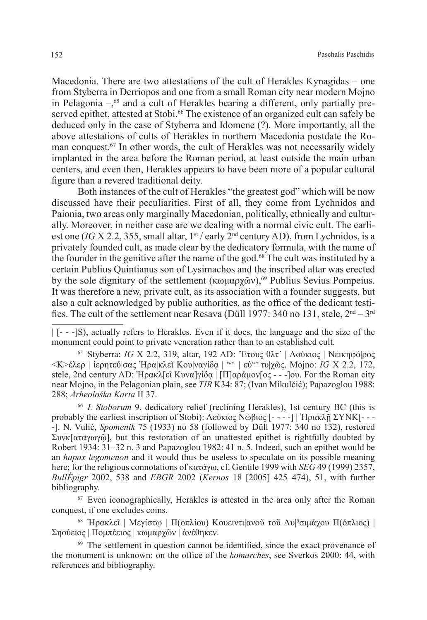Macedonia. There are two attestations of the cult of Herakles Kynagidas – one from Styberra in Derriopos and one from a small Roman city near modern Mojno in Pelagonia  $-\frac{65}{5}$  and a cult of Herakles bearing a different, only partially preserved epithet, attested at Stobi.<sup>66</sup> The existence of an organized cult can safely be deduced only in the case of Styberra and Idomene (?). More importantly, all the above attestations of cults of Herakles in northern Macedonia postdate the Roman conquest.67 In other words, the cult of Herakles was not necessarily widely implanted in the area before the Roman period, at least outside the main urban centers, and even then, Herakles appears to have been more of a popular cultural figure than a revered traditional deity.

Both instances of the cult of Herakles "the greatest god" which will be now discussed have their peculiarities. First of all, they come from Lychnidos and Paionia, two areas only marginally Macedonian, politically, ethnically and culturally. Moreover, in neither case are we dealing with a normal civic cult. The earliest one (*IG* X 2.2, 355, small altar,  $1<sup>st</sup>$  / early  $2<sup>nd</sup>$  century AD), from Lychnidos, is a privately founded cult, as made clear by the dedicatory formula, with the name of the founder in the genitive after the name of the god.<sup>68</sup> The cult was instituted by a certain Publius Quintianus son of Lysimachos and the inscribed altar was erected by the sole dignitary of the settlement (κωμαρχῶν),<sup>69</sup> Publius Sevius Pompeius. It was therefore a new, private cult, as its association with a founder suggests, but also a cult acknowledged by public authorities, as the office of the dedicant testifies. The cult of the settlement near Resava (Düll 1977: 340 no 131, stele,  $2<sup>nd</sup> - 3<sup>rd</sup>$ 

<sup>65</sup> Styberra: *IG* X 2.2, 319, altar, 192 AD: Ἔτους θλτ΄ | Λούκιος | Νεικηφό|ρος <Κ>έλερ | ἱερητεύ|σας Ἡρα|κλεῖ Κου|ναγίδᾳ | *vac.* | εὐ*vac.*τυ|χῶς. Mojno: *IG* X 2.2, 172, stele, 2nd century AD: Ἡρακλ[εῖ Κυνα]γίδα | [Π]αράμον[ος - - -]ου. For the Roman city near Mojno, in the Pelagonian plain, see *TIR* K34: 87; (Ivan Mikulčić); Papazoglou 1988: 288; *Arheološka Karta* II 37.

<sup>66</sup> *I. Stoborum* 9, dedicatory relief (reclining Herakles), 1st century BC (this is probably the earliest inscription of Stobi): Λεύκιος Νώβιος [- - - -] | Ἡρακλῇ ΣΥΝΚ[- - - -]. N. Vulić, *Spomenik* 75 (1933) no 58 (followed by Düll 1977: 340 no 132), restored Συνκ[αταγωγῷ], but this restoration of an unattested epithet is rightfully doubted by Robert 1934: 31–32 n. 3 and Papazoglou 1982: 41 n. 5. Indeed, such an epithet would be an *hapax legomenon* and it would thus be useless to speculate on its possible meaning here; for the religious connotations of κατάγω, cf. Gentile 1999 with *SEG* 49 (1999) 2357, *BullÉpigr* 2002, 538 and *EBGR* 2002 (*Kernos* 18 [2005] 425–474), 51, with further bibliography.

<sup>67</sup> Even iconographically, Herakles is attested in the area only after the Roman conquest, if one excludes coins.

<sup>68</sup> Ἡρακλεῖ | Μεγίστῳ | Π(οπλίου) Κουειντι|ανοῦ τοῦ Λυ| 5 σιμάχου Π(όπλιος) | Σηούειος | Πομπέειος | κωμαρχῶν | ἀνέθηκεν.

<sup>69</sup> The settlement in question cannot be identified, since the exact provenance of the monument is unknown: on the office of the *komarches*, see Sverkos 2000: 44, with references and bibliography.

<sup>| [- - -]</sup>S), actually refers to Herakles. Even if it does, the language and the size of the monument could point to private veneration rather than to an established cult.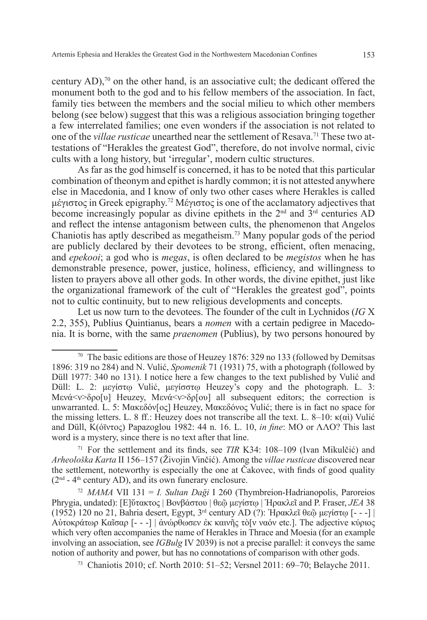century AD), $\frac{70}{10}$  on the other hand, is an associative cult; the dedicant offered the monument both to the god and to his fellow members of the association. In fact, family ties between the members and the social milieu to which other members belong (see below) suggest that this was a religious association bringing together a few interrelated families; one even wonders if the association is not related to one of the *villae rusticae* unearthed near the settlement of Resava.71 These two attestations of "Herakles the greatest God", therefore, do not involve normal, civic cults with a long history, but 'irregular', modern cultic structures.

As far as the god himself is concerned, it has to be noted that this particular combination of theonym and epithet is hardly common; it is not attested anywhere else in Macedonia, and I know of only two other cases where Herakles is called μέγιστος in Greek epigraphy.72 Μέγιστος is one of the acclamatory adjectives that become increasingly popular as divine epithets in the  $2<sup>nd</sup>$  and  $3<sup>rd</sup>$  centuries AD and reflect the intense antagonism between cults, the phenomenon that Angelos Chaniotis has aptly described as megatheism.73 Many popular gods of the period are publicly declared by their devotees to be strong, efficient, often menacing, and *epekooi*; a god who is *megas*, is often declared to be *megistos* when he has demonstrable presence, power, justice, holiness, efficiency, and willingness to listen to prayers above all other gods. In other words, the divine epithet, just like the organizational framework of the cult of "Herakles the greatest god", points not to cultic continuity, but to new religious developments and concepts.

Let us now turn to the devotees. The founder of the cult in Lychnidos (*IG* X 2.2, 355), Publius Quintianus, bears a *nomen* with a certain pedigree in Macedonia. It is borne, with the same *praenomen* (Publius), by two persons honoured by

<sup>71</sup> For the settlement and its finds, see *TIR* K34: 108–109 (Ivan Mikulčić) and *Arheološka Karta* II 156–157 (Živojin Vinčić). Among the *villae rusticae* discovered near the settlement, noteworthy is especially the one at Čakovec, with finds of good quality  $(2<sup>nd</sup> - 4<sup>th</sup> century AD)$ , and its own funerary enclosure.

<sup>72</sup> *MAMA* VII 131 = *I. Sultan Daği* I 260 (Thymbreion-Hadrianopolis, Paroreios Phrygia, undated): [Ε]ὔτακτος | Βονβάστου | θεῷ μεγίστῳ | Ἡρακλεῖ and P. Fraser, *JEA* 38 (1952) 120 no 21, Bahria desert, Egypt, 3rd century AD (?): Ἡρακλεῖ θεῷ μεγίστῳ [- - -] | Αὐτοκράτωρ Καῖσαρ [- - -] | ἀνώρθωσεν ἐκ καινῆς τὸ[ν ναόν etc.]. The adjective κύριος which very often accompanies the name of Herakles in Thrace and Moesia (for an example involving an association, see *IGBulg* IV 2039) is not a precise parallel: it conveys the same notion of authority and power, but has no connotations of comparison with other gods.

<sup>73</sup> Chaniotis 2010; cf. North 2010: 51–52; Versnel 2011: 69–70; Belayche 2011.

<sup>70</sup> The basic editions are those of Heuzey 1876: 329 no 133 (followed by Demitsas 1896: 319 no 284) and N. Vulić, *Spomenik* 71 (1931) 75, with a photograph (followed by Düll 1977: 340 no 131). I notice here a few changes to the text published by Vulić and Düll: L. 2: μεγίστῳ Vulić, μεγίσστῳ Heuzey's copy and the photograph. L. 3: Μενά<ν>δρο[υ] Heuzey, Μενά<ν>δρ[ου] all subsequent editors; the correction is unwarranted. L. 5: Μακεδόν[ος] Heuzey, Μακεδόνος Vulić; there is in fact no space for the missing letters. L. 8 ff.: Heuzey does not transcribe all the text. L. 8–10: κ(αὶ) Vulić and Düll, Κ(όϊντος) Papazoglou 1982: 44 n. 16. L. 10, *in fine*: MO or ΛΛO? This last word is a mystery, since there is no text after that line.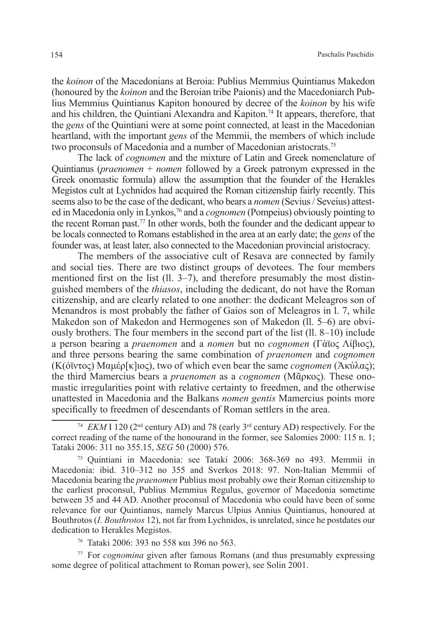the *koinon* of the Macedonians at Beroia: Publius Memmius Quintianus Makedon (honoured by the *koinon* and the Beroian tribe Paionis) and the Macedoniarch Publius Memmius Quintianus Kapiton honoured by decree of the *koinon* by his wife and his children, the Quintiani Alexandra and Kapiton.<sup>74</sup> It appears, therefore, that the *gens* of the Quintiani were at some point connected, at least in the Macedonian heartland, with the important *gens* of the Memmii, the members of which include two proconsuls of Macedonia and a number of Macedonian aristocrats.75

The lack of *cognomen* and the mixture of Latin and Greek nomenclature of Quintianus (*praenomen* + *nomen* followed by a Greek patronym expressed in the Greek onomastic formula) allow the assumption that the founder of the Herakles Megistos cult at Lychnidos had acquired the Roman citizenship fairly recently. This seems also to be the case of the dedicant, who bears a *nomen* (Sevius / Seveius) attested in Macedonia only in Lynkos,76 and a *cognomen* (Pompeius) obviously pointing to the recent Roman past.77 In other words, both the founder and the dedicant appear to be locals connected to Romans established in the area at an early date; the *gens* of the founder was, at least later, also connected to the Macedonian provincial aristocracy.

The members of the associative cult of Resava are connected by family and social ties. There are two distinct groups of devotees. The four members mentioned first on the list (ll. 3–7), and therefore presumably the most distinguished members of the *thiasos*, including the dedicant, do not have the Roman citizenship, and are clearly related to one another: the dedicant Meleagros son of Menandros is most probably the father of Gaios son of Meleagros in l. 7, while Makedon son of Makedon and Hermogenes son of Makedon (ll. 5–6) are obviously brothers. The four members in the second part of the list  $(11, 8-10)$  include a person bearing a *praenomen* and a *nomen* but no *cognomen* (Γάϊος Λίβιος), and three persons bearing the same combination of *praenomen* and *cognomen* (Κ(όϊντος) Μαμέρ[κ]ιος), two of which even bear the same *cognomen* (Ἀκύλας); the third Mamercius bears a *praenomen* as a *cognomen* (Μᾶρκος). These onomastic irregularities point with relative certainty to freedmen, and the otherwise unattested in Macedonia and the Balkans *nomen gentis* Mamercius points more specifically to freedmen of descendants of Roman settlers in the area.

<sup>75</sup> Quintiani in Macedonia: see Tataki 2006: 368-369 no 493. Memmii in Macedonia: ibid. 310–312 no 355 and Sverkos 2018: 97. Non-Italian Memmii of Macedonia bearing the *praenomen* Publius most probably owe their Roman citizenship to the earliest proconsul, Publius Memmius Regulus, governor of Macedonia sometime between 35 and 44 AD. Another proconsul of Macedonia who could have been of some relevance for our Quintianus, namely Marcus Ulpius Annius Quintianus, honoured at Bouthrotos (*I. Bouthrotos* 12), not far from Lychnidos, is unrelated, since he postdates our dedication to Herakles Megistos.

<sup>76</sup> Tataki 2006: 393 no 558 και 396 no 563.

<sup>77</sup> For *cognomina* given after famous Romans (and thus presumably expressing some degree of political attachment to Roman power), see Solin 2001.

<sup>74</sup> *EKM* I 120 (2nd century AD) and 78 (early 3rd century AD) respectively. For the correct reading of the name of the honourand in the former, see Salomies 2000: 115 n. 1; Tataki 2006: 311 no 355.15, *SEG* 50 (2000) 576.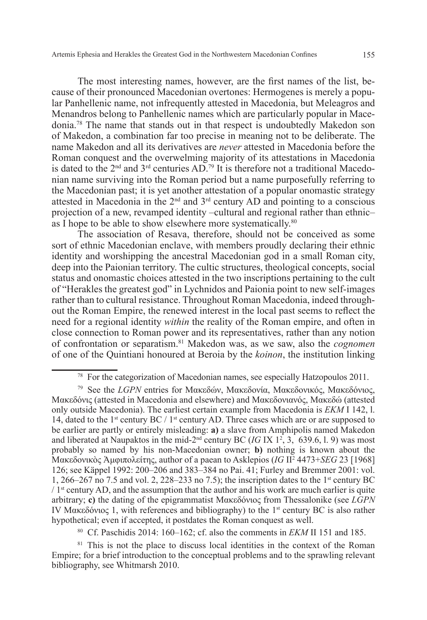The most interesting names, however, are the first names of the list, because of their pronounced Macedonian overtones: Hermogenes is merely a popular Panhellenic name, not infrequently attested in Macedonia, but Meleagros and Menandros belong to Panhellenic names which are particularly popular in Macedonia.78 The name that stands out in that respect is undoubtedly Makedon son of Makedon, a combination far too precise in meaning not to be deliberate. The name Makedon and all its derivatives are *never* attested in Macedonia before the Roman conquest and the overwelming majority of its attestations in Macedonia is dated to the  $2<sup>nd</sup>$  and  $3<sup>rd</sup>$  centuries AD.<sup>79</sup> It is therefore not a traditional Macedonian name surviving into the Roman period but a name purposefully referring to the Macedonian past; it is yet another attestation of a popular onomastic strategy attested in Macedonia in the  $2<sup>nd</sup>$  and  $3<sup>rd</sup>$  century AD and pointing to a conscious projection of a new, revamped identity –cultural and regional rather than ethnic– as I hope to be able to show elsewhere more systematically.<sup>80</sup>

The association of Resava, therefore, should not be conceived as some sort of ethnic Macedonian enclave, with members proudly declaring their ethnic identity and worshipping the ancestral Macedonian god in a small Roman city, deep into the Paionian territory. The cultic structures, theological concepts, social status and onomastic choices attested in the two inscriptions pertaining to the cult of "Herakles the greatest god" in Lychnidos and Paionia point to new self-images rather than to cultural resistance. Throughout Roman Macedonia, indeed throughout the Roman Empire, the renewed interest in the local past seems to reflect the need for a regional identity *within* the reality of the Roman empire, and often in close connection to Roman power and its representatives, rather than any notion of confrontation or separatism.81 Makedon was, as we saw, also the *cognomen* of one of the Quintiani honoured at Beroia by the *koinon*, the institution linking

<sup>80</sup> Cf. Paschidis 2014: 160–162; cf. also the comments in *ΕΚΜ* II 151 and 185.

<sup>81</sup> This is not the place to discuss local identities in the context of the Roman Empire; for a brief introduction to the conceptual problems and to the sprawling relevant bibliography, see Whitmarsh 2010.

<sup>78</sup> For the categorization of Macedonian names, see especially Hatzopoulos 2011.

<sup>79</sup> See the *LGPN* entries for Μακεδών, Μακεδονία, Μακεδονικός, Μακεδόνιος, Μακεδόνις (attested in Macedonia and elsewhere) and Μακεδονιανός, Μακεδώ (attested only outside Macedonia). The earliest certain example from Macedonia is *EKM* I 142, l. 14, dated to the 1<sup>st</sup> century BC / 1<sup>st</sup> century AD. Three cases which are or are supposed to be earlier are partly or entirely misleading: **a)** a slave from Amphipolis named Makedon and liberated at Naupaktos in the mid-2<sup>nd</sup> century BC (*IG* IX 1<sup>2</sup>, 3, 639.6, l. 9) was most probably so named by his non-Macedonian owner; **b)** nothing is known about the Μακεδονικὸς Ἀμφιπολείτης, author of a paean to Asklepios (*IG* II2 4473+*SEG* 23 [1968] 126; see Käppel 1992: 200–206 and 383–384 no Pai. 41; Furley and Bremmer 2001: vol. 1, 266–267 no 7.5 and vol. 2, 228–233 no 7.5); the inscription dates to the 1<sup>st</sup> century BC  $/1$ <sup>st</sup> century AD, and the assumption that the author and his work are much earlier is quite arbitrary; **c)** the dating of the epigrammatist Μακεδόνιος from Thessalonike (see *LGPN* IV Μακεδόνιος 1, with references and bibliography) to the 1<sup>st</sup> century BC is also rather hypothetical; even if accepted, it postdates the Roman conquest as well.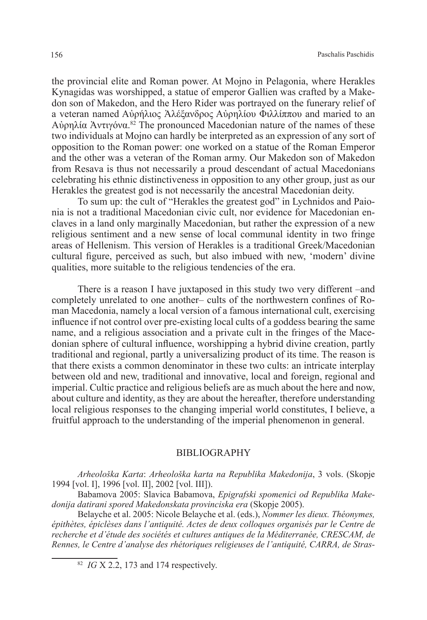the provincial elite and Roman power. At Mojno in Pelagonia, where Herakles Kynagidas was worshipped, a statue of emperor Gallien was crafted by a Makedon son of Makedon, and the Hero Rider was portrayed on the funerary relief of a veteran named Αὐρήλιος Ἀλέξανδρος Αὐρηλίου Φιλλίππου and maried to an Aὐρηλία Ἀντιγόνα.<sup>82</sup> The pronounced Macedonian nature of the names of these two individuals at Mojno can hardly be interpreted as an expression of any sort of opposition to the Roman power: one worked on a statue of the Roman Emperor and the other was a veteran of the Roman army. Our Makedon son of Makedon from Resava is thus not necessarily a proud descendant of actual Macedonians celebrating his ethnic distinctiveness in opposition to any other group, just as our Herakles the greatest god is not necessarily the ancestral Macedonian deity.

To sum up: the cult of "Herakles the greatest god" in Lychnidos and Paionia is not a traditional Macedonian civic cult, nor evidence for Macedonian enclaves in a land only marginally Macedonian, but rather the expression of a new religious sentiment and a new sense of local communal identity in two fringe areas of Hellenism. This version of Herakles is a traditional Greek/Macedonian cultural figure, perceived as such, but also imbued with new, 'modern' divine qualities, more suitable to the religious tendencies of the era.

There is a reason I have juxtaposed in this study two very different –and completely unrelated to one another– cults of the northwestern confines of Roman Macedonia, namely a local version of a famous international cult, exercising influence if not control over pre-existing local cults of a goddess bearing the same name, and a religious association and a private cult in the fringes of the Macedonian sphere of cultural influence, worshipping a hybrid divine creation, partly traditional and regional, partly a universalizing product of its time. The reason is that there exists a common denominator in these two cults: an intricate interplay between old and new, traditional and innovative, local and foreign, regional and imperial. Cultic practice and religious beliefs are as much about the here and now, about culture and identity, as they are about the hereafter, therefore understanding local religious responses to the changing imperial world constitutes, I believe, a fruitful approach to the understanding of the imperial phenomenon in general.

#### BIBLIOGRAPHY

*Arheološka Karta*: *Arheološka karta na Republika Makedonija*, 3 vols. (Skopje 1994 [vol. I], 1996 [vol. II], 2002 [vol. III]).

Babamova 2005: Slavica Babamova, *Epigrafski spomenici od Republika Makedonija datirani spored Makedonskata provinciska era* (Skopje 2005).

Belayche et al. 2005: Nicole Belayche et al. (eds.), *Nommer les dieux. Théonymes, épithètes, épiclèses dans l'antiquité. Actes de deux colloques organisés par le Centre de recherche et d'étude des sociétés et cultures antiques de la Méditerranée, CRESCAM, de Rennes, le Centre d'analyse des rhétoriques religieuses de l'antiquité, CARRA, de Stras-*

<sup>82</sup> *IG* X 2.2, 173 and 174 respectively.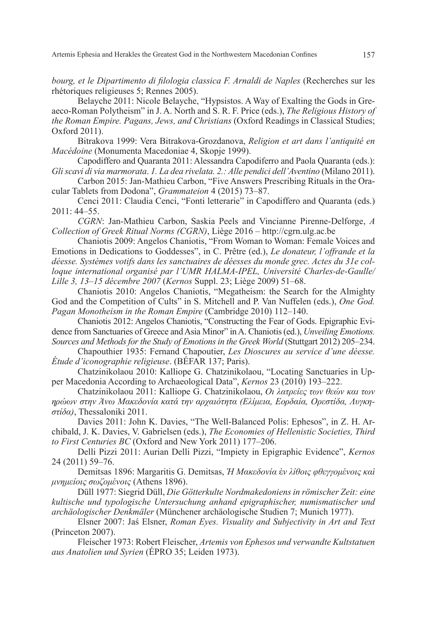*bourg, et le Dipartimento di filologia classica F. Arnaldi de Naples* (Recherches sur les rhétoriques religieuses 5; Rennes 2005).

Belayche 2011: Nicole Belayche, "Hypsistos. A Way of Exalting the Gods in Greaeco-Roman Polytheism" in J. A. North and S. R. F. Price (eds.), *The Religious History of the Roman Empire. Pagans, Jews, and Christians* (Oxford Readings in Classical Studies; Oxford 2011).

Bitrakova 1999: Vera Bitrakova-Grozdanova, *Religion et art dans l'antiquité en Macédoine* (Monumenta Macedoniae 4, Skopje 1999).

Capodiffero and Quaranta 2011: Alessandra Capodiferro and Paola Quaranta (eds.): *Gli scavi di via marmorata*. *1. La dea rivelata. 2.: Alle pendici dell'Aventino* (Milano 2011).

Carbon 2015: Jan-Mathieu Carbon, "Five Answers Prescribing Rituals in the Oracular Tablets from Dodona", *Grammateion* 4 (2015) 73–87.

Cenci 2011: Claudia Cenci, "Fonti letterarie" in Capodiffero and Quaranta (eds.) 2011: 44–55.

*CGRN*: Jan-Mathieu Carbon, Saskia Peels and Vincianne Pirenne-Delforge, *A Collection of Greek Ritual Norms (CGRN)*, Liège 2016 – http://cgrn.ulg.ac.be

Chaniotis 2009: Angelos Chaniotis, "From Woman to Woman: Female Voices and Emotions in Dedications to Goddesses", in C. Prêtre (ed.), *Le donateur, l'offrande et la déesse. Systèmes votifs dans les sanctuaires de déesses du monde grec. Actes du 31e colloque international organisé par l'UMR HALMA-IPEL, Université Charles-de-Gaulle/ Lille 3, 13*–*15 décembre 2007* (*Kernos* Suppl. 23; Liège 2009) 51–68.

Chaniotis 2010: Angelos Chaniotis, "Megatheism: the Search for the Almighty God and the Competition of Cults" in S. Mitchell and P. Van Nuffelen (eds.), *One God. Pagan Monotheism in the Roman Empire* (Cambridge 2010) 112–140.

Chaniotis 2012: Angelos Chaniotis, "Constructing the Fear of Gods. Epigraphic Evidence from Sanctuaries of Greece and Asia Minor" in A. Chaniotis (ed.), *Unveiling Emotions. Sources and Methods for the Study of Emotions in the Greek World* (Stuttgart 2012) 205–234.

Chapouthier 1935: Fernand Chapoutier, *Les Dioscures au service d'une déesse. Étude d'iconographie religieuse*. (BÉFAR 137; Paris).

Chatzinikolaou 2010: Kalliope G. Chatzinikolaou, "Locating Sanctuaries in Upper Macedonia According to Archaeological Data", *Kernos* 23 (2010) 193–222.

Chatzinikolaou 2011: Kalliope G. Chatzinikolaou, *Οι λατρείες των θεών και των ηρώων στην Άνω Μακεδονία κατά την αρχαιότητα (Ελίμεια, Εορδαία, Ορεστίδα, Λυγκηστίδα)*, Thessaloniki 2011.

Davies 2011: John K. Davies, "The Well-Balanced Polis: Ephesos", in Z. H. Archibald, J. K. Davies, V. Gabrielsen (eds.), *The Economies of Hellenistic Societies, Third to First Centuries BC* (Oxford and New York 2011) 177–206.

Delli Pizzi 2011: Aurian Delli Pizzi, "Impiety in Epigraphic Evidence", *Kernos* 24 (2011) 59–76.

Demitsas 1896: Margaritis G. Demitsas, *Ἡ Μακεδονία* ἐ*ν λίθοις φθεγγομένοις καὶ μνημείοις σωζομένοις* (Athens 1896).

Düll 1977: Siegrid Düll, *Die Götterkulte Nordmakedoniens in römischer Zeit: eine kultische und typologische Untersuchung anhand epigraphischer, numismatischer und archäologischer Denkmäler* (Münchener archäologische Studien 7; Munich 1977).

Elsner 2007: Jaś Elsner, *Roman Eyes. Visuality and Subjectivity in Art and Text* (Princeton 2007).

Fleischer 1973: Robert Fleischer, *Artemis von Ephesos und verwandte Kultstatuen aus Anatolien und Syrien* (ÉPRO 35; Leiden 1973).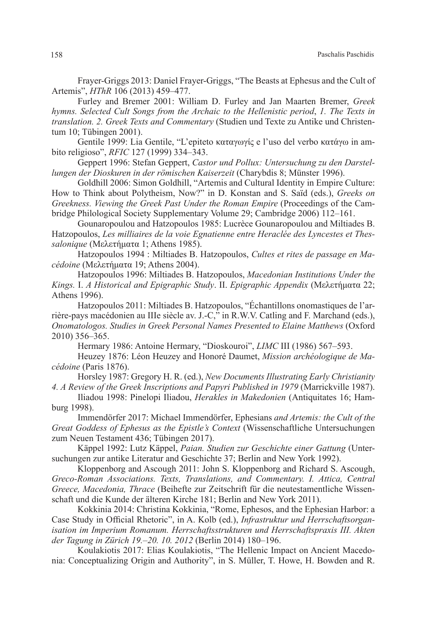Frayer-Griggs 2013: Daniel Frayer-Griggs, "The Beasts at Ephesus and the Cult of Artemis", *HThR* 106 (2013) 459–477.

Furley and Bremer 2001: William D. Furley and Jan Maarten Bremer, *Greek hymns. Selected Cult Songs from the Archaic to the Hellenistic period*, *1. The Texts in translation. 2. Greek Texts and Commentary* (Studien und Texte zu Antike und Christentum 10; Tübingen 2001).

Gentile 1999: Lia Gentile, "L'epiteto καταγωγίς e l'uso del verbo κατάγω in ambito religioso", *RFIC* 127 (1999) 334–343.

Geppert 1996: Stefan Geppert, *Castor und Pollux: Untersuchung zu den Darstellungen der Dioskuren in der römischen Kaiserzeit* (Charybdis 8; Münster 1996).

Goldhill 2006: Simon Goldhill, "Artemis and Cultural Identity in Empire Culture: How to Think about Polytheism, Now?" in D. Konstan and S. Saïd (eds.), *Greeks on Greekness. Viewing the Greek Past Under the Roman Empire* (Proceedings of the Cambridge Philological Society Supplementary Volume 29; Cambridge 2006) 112–161.

Gounaropoulou and Hatzopoulos 1985: Lucrèce Gounaropoulou and Miltiades B. Hatzopoulos, *Les milliaires de la voie Egnatienne entre Heraclée des Lyncestes et Thessalonique* (Μελετήματα 1; Athens 1985).

Hatzopoulos 1994 : Miltiades B. Hatzopoulos, *Cultes et rites de passage en Macédoine* (Μελετήματα 19; Athens 2004).

Hatzopoulos 1996: Miltiades B. Hatzopoulos, *Macedonian Institutions Under the Kings.* I. *A Historical and Epigraphic Study*. II. *Epigraphic Appendix* (Μελετήματα 22; Athens 1996).

Hatzopoulos 2011: Miltiades B. Hatzopoulos, "Échantillons onomastiques de l'arrière-pays macédonien au IIIe siècle av. J.-C," in R.W.V. Catling and F. Marchand (eds.), *Onomatologos. Studies in Greek Personal Names Presented to Elaine Matthews* (Oxford 2010) 356–365.

Hermary 1986: Antoine Hermary, "Dioskouroi", *LIMC* III (1986) 567–593.

Heuzey 1876: Léon Heuzey and Honoré Daumet, *Mission archéologique de Macédoine* (Paris 1876).

Horsley 1987: Gregory H. R. (ed.), *New Documents Illustrating Early Christianity 4. A Review of the Greek Inscriptions and Papyri Published in 1979* (Marrickville 1987).

Iliadou 1998: Pinelopi Iliadou, *Herakles in Makedonien* (Antiquitates 16; Hamburg 1998).

Immendörfer 2017: Michael Immendörfer, Ephesians *and Artemis: the Cult of the Great Goddess of Ephesus as the Epistle's Context* (Wissenschaftliche Untersuchungen zum Neuen Testament 436; Tübingen 2017).

Käppel 1992: Lutz Käppel, *Paian. Studien zur Geschichte einer Gattung* (Untersuchungen zur antike Literatur and Geschichte 37; Berlin and New York 1992).

Kloppenborg and Ascough 2011: John S. Kloppenborg and Richard S. Ascough, *Greco-Roman Associations. Texts, Translations, and Commentary. I. Attica, Central Greece, Macedonia, Thrace* (Beihefte zur Zeitschrift für die neutestamentliche Wissenschaft und die Kunde der älteren Kirche 181; Berlin and New York 2011).

Kokkinia 2014: Christina Kokkinia, "Rome, Ephesos, and the Ephesian Harbor: a Case Study in Official Rhetoric", in A. Kolb (ed.), *Infrastruktur und Herrschaftsorganisation im Imperium Romanum. Herrschaftsstrukturen und Herrschaftspraxis III. Akten der Tagung in Zürich 19.–20. 10. 2012* (Berlin 2014) 180–196.

Koulakiotis 2017: Elias Koulakiotis, "The Hellenic Impact on Ancient Macedonia: Conceptualizing Origin and Authority", in S. Müller, T. Howe, H. Bowden and R.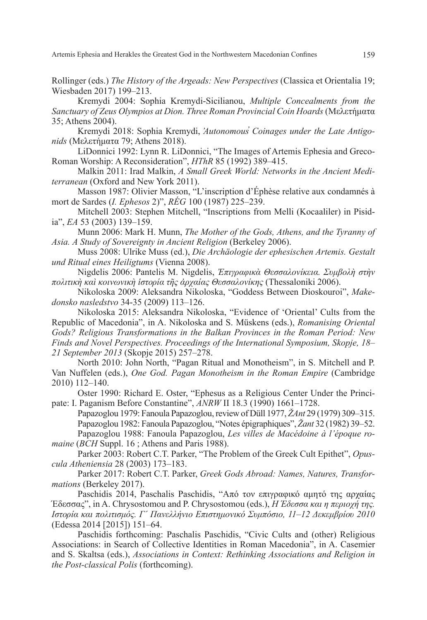Artemis Ephesia and Herakles the Greatest God in the Northwestern Macedonian Confines 159

Rollinger (eds.) *The History of the Argeads: New Perspectives* (Classica et Orientalia 19; Wiesbaden 2017) 199–213.

Kremydi 2004: Sophia Kremydi-Sicilianou, *Multiple Concealments from the Sanctuary of Zeus Olympios at Dion. Three Roman Provincial Coin Hoards* (Mελετήματα 35; Athens 2004).

Kremydi 2018: Sophia Kremydi, *̓Autonomous̕ Coinages under the Late Antigonids* (Μελετήματα 79; Athens 2018).

LiDonnici 1992: Lynn R. LiDonnici, "The Images of Artemis Ephesia and Greco-Roman Worship: A Reconsideration", *HThR* 85 (1992) 389–415.

Malkin 2011: Irad Malkin, *A Small Greek World: Networks in the Ancient Mediterranean* (Oxford and New York 2011).

Masson 1987: Olivier Masson, "L'inscription d'Éphèse relative aux condamnés à mort de Sardes (*I. Ephesos* 2)", *RÉG* 100 (1987) 225–239.

Mitchell 2003: Stephen Mitchell, "Inscriptions from Melli (Kocaaliler) in Pisidia", *EA* 53 (2003) 139–159.

Munn 2006: Mark H. Munn, *The Mother of the Gods, Athens, and the Tyranny of Asia. A Study of Sovereignty in Ancient Religion* (Berkeley 2006).

Muss 2008: Ulrike Muss (ed.), *Die Archäologie der ephesischen Artemis. Gestalt und Ritual eines Heiligtums* (Vienna 2008).

Nigdelis 2006: Pantelis M. Nigdelis, *Ἐπιγραφικὰ Θεσσαλονίκεια. Συμβολὴ στὴν πολιτικὴ καὶ κοινωνικὴ ἱστορία τῆς ἀρχαίας Θεσσαλονίκης* (Thessaloniki 2006).

Nikoloska 2009: Aleksandra Nikoloska, "Goddess Between Dioskouroi", *Makedonsko nasledstvo* 34-35 (2009) 113–126.

Nikoloska 2015: Aleksandra Nikoloska, "Evidence of 'Oriental' Cults from the Republic of Macedonia", in A. Nikoloska and S. Müskens (eds.), *Romanising Oriental Gods? Religious Transformations in the Balkan Provinces in the Roman Period: New Finds and Novel Perspectives. Proceedings of the International Symposium, Skopje, 18*– *21 September 2013* (Skopje 2015) 257–278.

North 2010: John North, "Pagan Ritual and Monotheism", in S. Mitchell and P. Van Nuffelen (eds.), *One God. Pagan Monotheism in the Roman Empire* (Cambridge 2010) 112–140.

Oster 1990: Richard E. Oster, "Ephesus as a Religious Center Under the Principate: I. Paganism Before Constantine", *ANRW* II 18.3 (1990) 1661–1728.

Papazoglou 1979: Fanoula Papazoglou, review of Düll 1977, *ŽAnt* 29 (1979) 309–315. Papazoglou 1982: Fanoula Papazoglou, "Notes épigraphiques", *Žant* 32 (1982) 39–52. Papazoglou 1988: Fanoula Papazoglou, *Les villes de Macédoine à l'époque romaine* (*BCH* Suppl. 16 ; Athens and Paris 1988).

Parker 2003: Robert C.T. Parker, "The Problem of the Greek Cult Epithet", *Opuscula Atheniensia* 28 (2003) 173–183.

Parker 2017: Robert C.T. Parker, *Greek Gods Abroad: Names, Natures, Transformations* (Berkeley 2017).

Paschidis 2014, Paschalis Paschidis, "Από τον επιγραφικό αμητό της αρχαίας Έδεσσας", in Α. Chrysostomou and P. Chrysostomou (eds.), *Η Έδεσσα και η περιοχή της. Ιστορία και πολιτισμός. Γ´ Πανελλήνιο Επιστημονικό Συμπόσιο, 11–12 Δεκεμβρίου 2010* (Edessa 2014 [2015]) 151–64.

Paschidis forthcoming: Paschalis Paschidis, "Civic Cults and (other) Religious Associations: in Search of Collective Identities in Roman Macedonia", in A. Casemier and S. Skaltsa (eds.), *Associations in Context: Rethinking Associations and Religion in the Post-classical Polis* (forthcoming).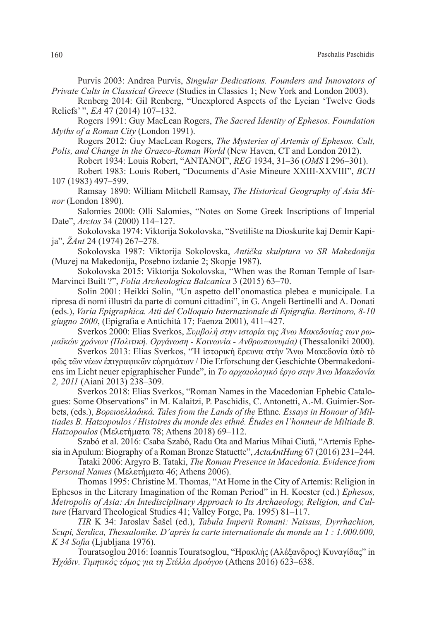Purvis 2003: Andrea Purvis, *Singular Dedications. Founders and Innovators of Private Cults in Classical Greece* (Studies in Classics 1; New York and London 2003).

Renberg 2014: Gil Renberg, "Unexplored Aspects of the Lycian 'Twelve Gods Reliefs' ", *EA* 47 (2014) 107–132.

Rogers 1991: Guy MacLean Rogers, *The Sacred Identity of Ephesos*. *Foundation Myths of a Roman City* (London 1991).

Rogers 2012: Guy MacLean Rogers, *The Mysteries of Artemis of Ephesos. Cult, Polis, and Change in the Graeco-Roman World* (New Haven, CT and London 2012).

Robert 1934: Louis Robert, "ΑΝΤΑΝΟΙ", *REG* 1934, 31–36 (*OMS* I 296–301).

Robert 1983: Louis Robert, "Documents d'Asie Mineure XXIII-XXVIII", *BCH* 107 (1983) 497–599.

Ramsay 1890: William Mitchell Ramsay, *The Historical Geography of Asia Minor* (London 1890).

Salomies 2000: Olli Salomies, "Notes on Some Greek Inscriptions of Imperial Date", *Arctos* 34 (2000) 114–127.

Sokolovska 1974: Viktorija Sokolovska, "Svetilište na Dioskurite kaj Demir Kapija", *ŽAnt* 24 (1974) 267–278.

Sokolovska 1987: Viktorija Sokolovska, *Antička skulptura vo SR Makedonija* (Muzej na Makedonija, Posebno izdanie 2; Skopje 1987).

Sokolovska 2015: Viktorija Sokolovska, "When was the Roman Temple of Isar-Marvinci Built ?", *Folia Archeologica Balcanica* 3 (2015) 63–70.

Solin 2001: Heikki Solin, "Un aspetto dell'onomastica plebea e municipale. La ripresa di nomi illustri da parte di comuni cittadini", in G. Angeli Bertinelli and A. Donati (eds.), *Varia Epigraphica. Atti del Colloquio Internazionale di Epigrafia. Bertinoro, 8-10 giugno 2000*, (Epigrafia e Antichità 17; Faenza 2001), 411–427.

Sverkos 2000: Εlias Sverkos, *Συμβολή στην ιστορία της Άνω Μακεδονίας των ρωμαϊκών χρόνων (Πολιτική. Οργάνωση - Κοινωνία - Ανθρωπωνυμία)* (Thessaloniki 2000).

Sverkos 2013: Elias Sverkos, "Η ίστορικὴ ἔρευνα στὴν Ἄνω Μακεδονία ὑπὸ τὸ φῶς τῶν νέων ἐπιγραφικῶν εὑρημάτων / Die Erforschung der Geschichte Obermakedoniens im Licht neuer epigraphischer Funde", in *Το αρχαιολογικό έργο στην Άνω Μακεδονία 2, 2011* (Aiani 2013) 238–309.

Sverkos 2018: Elias Sverkos, "Roman Names in the Macedonian Ephebic Catalogues: Some Observations" in M. Kalaitzi, P. Paschidis, C. Antonetti, A.-M. Guimier-Sorbets, (eds.), *Βορειοελλαδικά. Tales from the Lands of the* Ethne*. Essays in Honour of Miltiades B. Hatzopoulos / Histoires du monde des ethné. Études en l'honneur de Miltiade B. Hatzopoulos* (Μελετήματα 78; Athens 2018) 69–112.

Szabó et al. 2016: Csaba Szabó, Radu Ota and Marius Mihai Ciută, "Artemis Ephesia in Apulum: Biography of a Roman Bronze Statuette", *ActaAntHung* 67 (2016) 231–244.

Tataki 2006: Argyro B. Tataki, *The Roman Presence in Macedonia. Evidence from Personal Names* (Μελετήματα 46; Athens 2006).

Thomas 1995: Christine M. Thomas, "At Home in the City of Artemis: Religion in Ephesos in the Literary Imagination of the Roman Period" in H. Koester (ed.) *Ephesos, Metropolis of Asia: An Intedisciplinary Approach to Its Archaeology, Religion, and Culture* (Harvard Theological Studies 41; Valley Forge, Pa. 1995) 81–117.

*TIR* K 34: Jaroslav Šašel (ed.), *Tabula Imperii Romani: Naissus, Dyrrhachion, Scupi, Serdica, Thessalonike. D'après la carte internationale du monde au 1 : 1.000.000, K 34 Sofia* (Ljubljana 1976).

Touratsoglou 2016: Ioannis Touratsoglou, "Ηρακλής (Αλέξανδρος) Κυναγίδας" in *Ἠχάδιν. Τιμητικός τόμος για τη Στέλλα Δρούγου* (Athens 2016) 623–638.